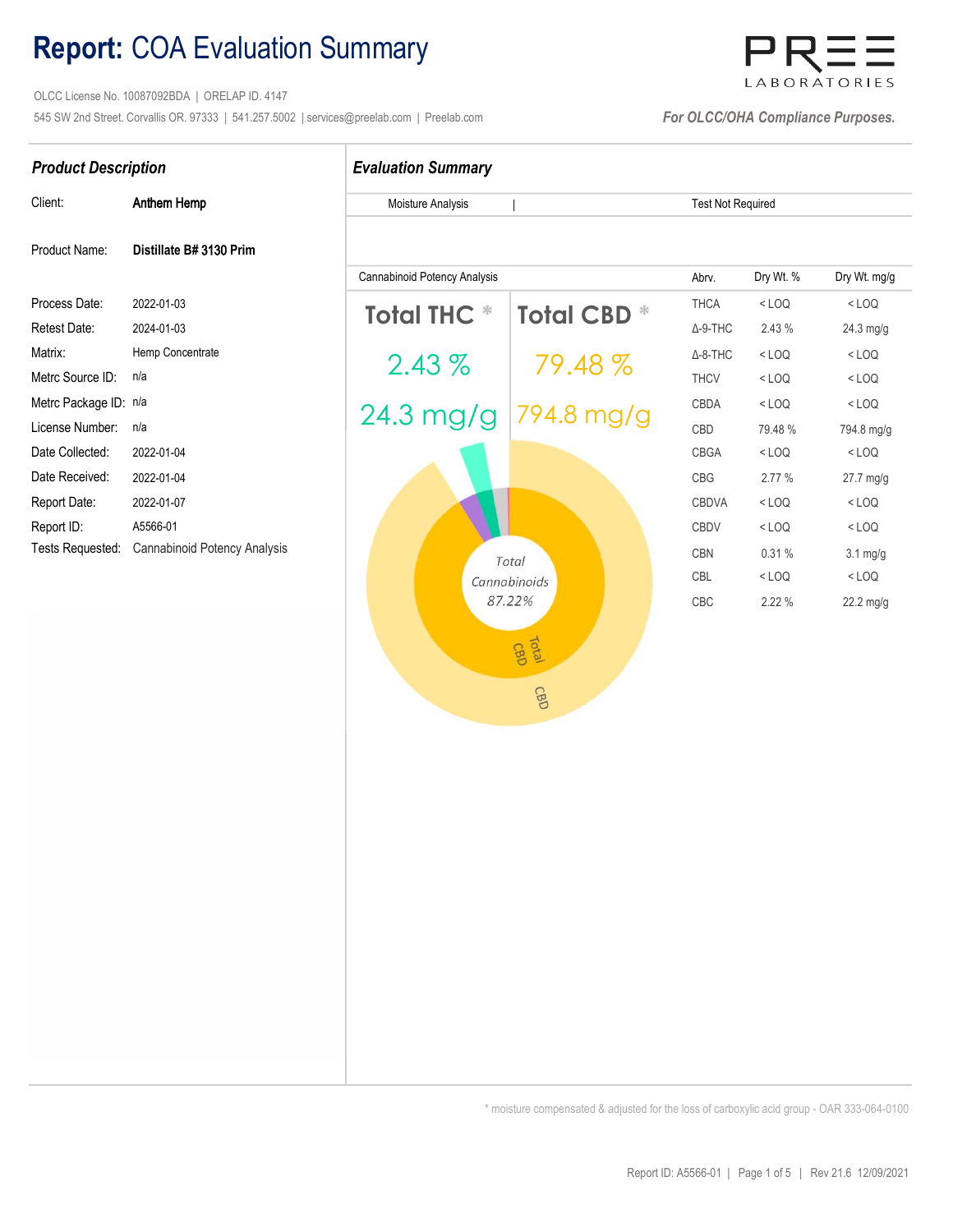# Report: COA Evaluation Summary

 OLCC License No. 10087092BDA | ORELAP ID. 4147 545 SW 2nd Street. Corvallis OR. 97333 | 541.257.5002 | services@preelab.com | Preelab.com | For OLCC/OHA Compliance Purposes.

# LABORATORIES

| Client:           | Anthem Hemp                                   |
|-------------------|-----------------------------------------------|
| Product Name:     | Distillate B# 3130 Prim                       |
| Process Date:     | 2022-01-03                                    |
| Retest Date:      | 2024-01-03                                    |
| Matrix:           | Hemp Concentrate                              |
| Metrc Source ID:  | n/a                                           |
| Metrc Package ID: | n/a                                           |
| License Number:   | n/a                                           |
| Date Collected:   | 2022-01-04                                    |
| Date Received:    | 2022-01-04                                    |
| Report Date:      | 2022-01-07                                    |
| Report ID:        | A5566-01                                      |
|                   | Tests Requested: Cannabinoid Potency Analysis |

## Product Description **Evaluation Summary**

Moisture Analysis Test Not Required

|

| Cannabinoid Potency Analysis |                                | Abrv.                                                                                                    | Dry Wt. % | Dry Wt. mg/g       |
|------------------------------|--------------------------------|----------------------------------------------------------------------------------------------------------|-----------|--------------------|
|                              |                                | <b>THCA</b>                                                                                              | $<$ LOQ   | $<$ LOQ            |
|                              |                                | $\Delta$ -9-THC                                                                                          | 2.43 %    | 24.3 mg/g          |
|                              |                                | $\Delta$ -8-THC                                                                                          | $<$ LOQ   | $<$ LOQ            |
|                              |                                | <b>THCV</b>                                                                                              | $<$ LOQ   | $<$ LOQ            |
|                              |                                | CBDA                                                                                                     | $<$ LOQ   | $<$ LOQ            |
|                              |                                | CBD                                                                                                      | 79.48%    | 794.8 mg/g         |
|                              |                                | <b>CBGA</b>                                                                                              | $<$ LOQ   | $<$ LOQ            |
|                              |                                | CBG                                                                                                      | 2.77 %    | 27.7 mg/g          |
|                              |                                | <b>CBDVA</b>                                                                                             | $<$ LOQ   | $<$ LOQ            |
|                              |                                | <b>CBDV</b>                                                                                              | $<$ LOQ   | $<$ LOQ            |
|                              |                                | <b>CBN</b>                                                                                               | 0.31%     | $3.1 \text{ mg/g}$ |
|                              |                                | <b>CBL</b>                                                                                               | $<$ LOQ   | $<$ LOQ            |
|                              |                                | CBC                                                                                                      | 2.22 %    | 22.2 mg/g          |
|                              |                                |                                                                                                          |           |                    |
|                              |                                |                                                                                                          |           |                    |
|                              | CBD                            |                                                                                                          |           |                    |
| Cannabinoid Potency Analysis | <b>Total THC *</b><br>$2.43\%$ | <b>Total CBD *</b><br>79.48 %<br>24.3 mg/g 794.8 mg/g<br>Total<br>Cannabinoids<br>87.22%<br><b>Total</b> |           |                    |

\* moisture compensated & adjusted for the loss of carboxylic acid group - OAR 333-064-0100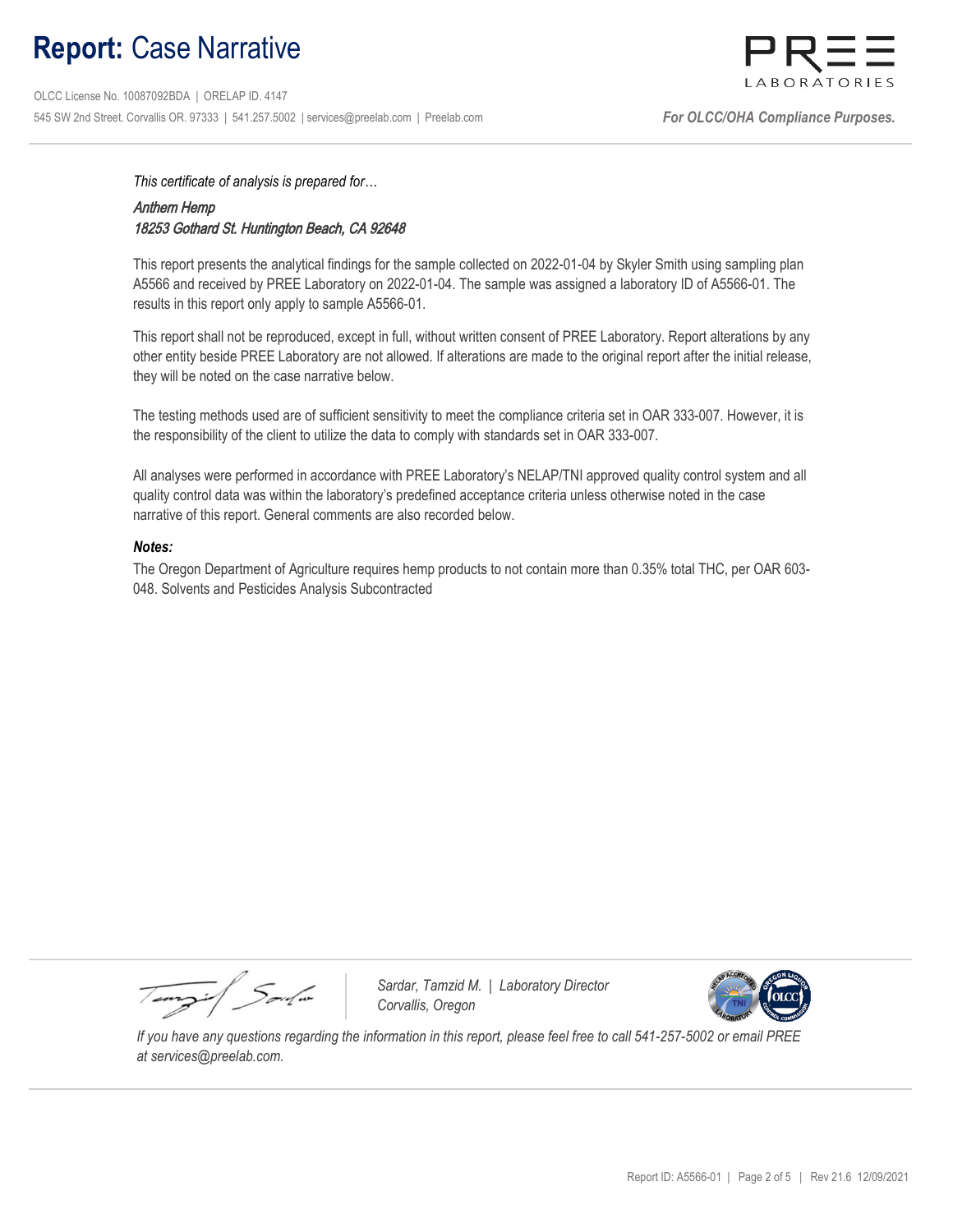# Report: Case Narrative

 OLCC License No. 10087092BDA | ORELAP ID. 4147 545 SW 2nd Street. Corvallis OR. 97333 | 541.257.5002 | services@preelab.com | Preelab.com | For CLCC/OHA Compliance Purposes.



This certificate of analysis is prepared for…

## Anthem Hemp 18253 Gothard St. Huntington Beach, CA 92648

This report presents the analytical findings for the sample collected on 2022-01-04 by Skyler Smith using sampling plan A5566 and received by PREE Laboratory on 2022-01-04. The sample was assigned a laboratory ID of A5566-01. The results in this report only apply to sample A5566-01.

This report shall not be reproduced, except in full, without written consent of PREE Laboratory. Report alterations by any other entity beside PREE Laboratory are not allowed. If alterations are made to the original report after the initial release, they will be noted on the case narrative below.

The testing methods used are of sufficient sensitivity to meet the compliance criteria set in OAR 333-007. However, it is the responsibility of the client to utilize the data to comply with standards set in OAR 333-007.

All analyses were performed in accordance with PREE Laboratory's NELAP/TNI approved quality control system and all quality control data was within the laboratory's predefined acceptance criteria unless otherwise noted in the case narrative of this report. General comments are also recorded below.

#### Notes:

The Oregon Department of Agriculture requires hemp products to not contain more than 0.35% total THC, per OAR 603- 048. Solvents and Pesticides Analysis Subcontracted

Tempi / Soulin

Sardar, Tamzid M. | Laboratory Director Corvallis, Oregon



 If you have any questions regarding the information in this report, please feel free to call 541-257-5002 or email PREE at services@preelab.com.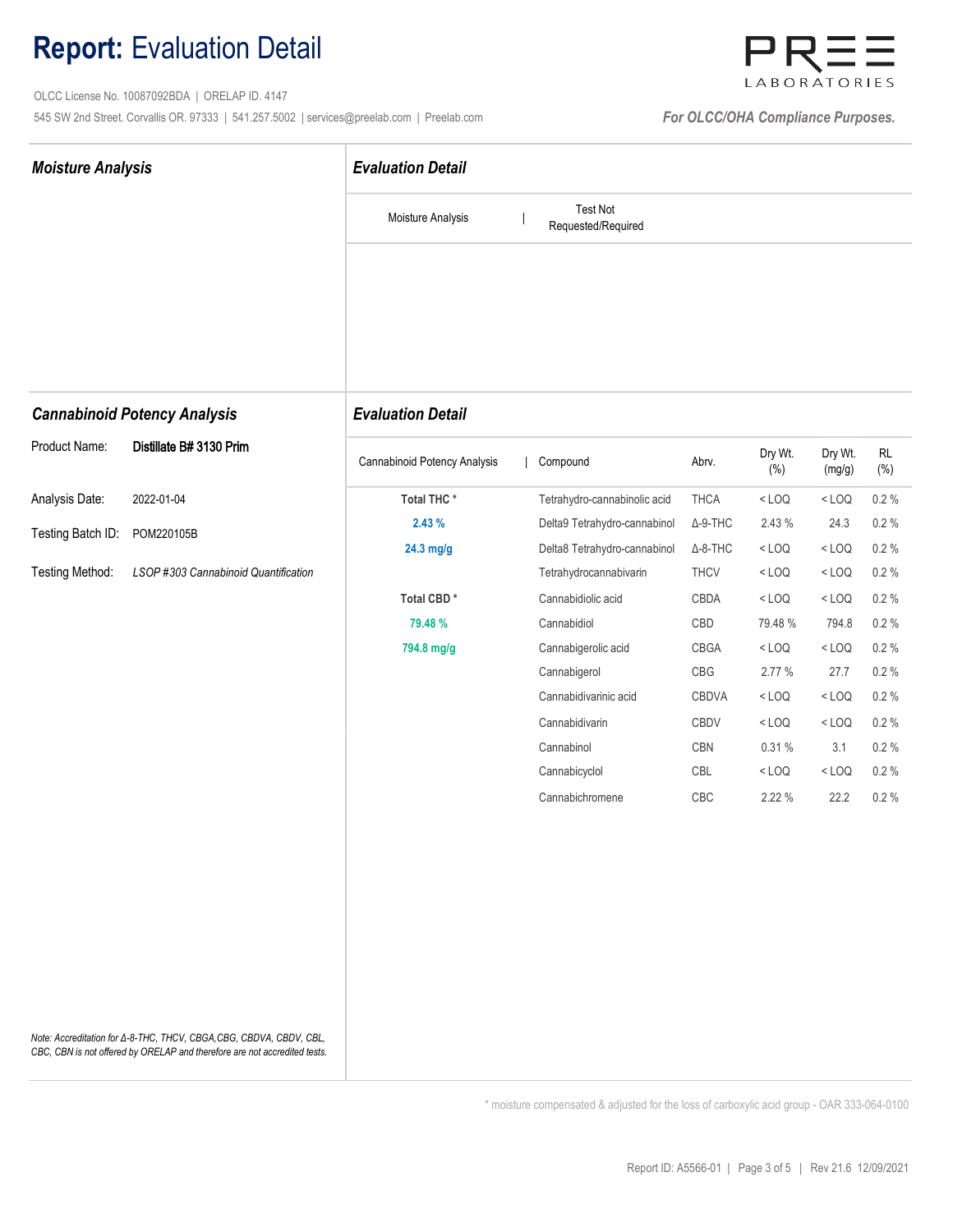# Report: Evaluation Detail

 OLCC License No. 10087092BDA | ORELAP ID. 4147 545 SW 2nd Street. Corvallis OR. 97333 | 541.257.5002 | services@preelab.com | Preelab.com | **For OLCC/OHA Compliance Purposes.** 



| <b>Moisture Analysis</b> |                                                                                                                                                  | <b>Evaluation Detail</b>     |                                       |                 |                    |                   |                          |  |  |
|--------------------------|--------------------------------------------------------------------------------------------------------------------------------------------------|------------------------------|---------------------------------------|-----------------|--------------------|-------------------|--------------------------|--|--|
|                          |                                                                                                                                                  | Moisture Analysis            | <b>Test Not</b><br>Requested/Required |                 |                    |                   |                          |  |  |
|                          |                                                                                                                                                  |                              |                                       |                 |                    |                   |                          |  |  |
|                          | <b>Cannabinoid Potency Analysis</b>                                                                                                              | <b>Evaluation Detail</b>     |                                       |                 |                    |                   |                          |  |  |
| Product Name:            | Distillate B# 3130 Prim                                                                                                                          | Cannabinoid Potency Analysis | Compound                              | Abrv.           | Dry Wt.<br>$(\% )$ | Dry Wt.<br>(mg/g) | $\mathsf{RL}$<br>$(\% )$ |  |  |
| Analysis Date:           | 2022-01-04                                                                                                                                       | Total THC*                   | Tetrahydro-cannabinolic acid          | <b>THCA</b>     | $<$ LOQ            | $<$ LOQ           | 0.2%                     |  |  |
| Testing Batch ID:        | POM220105B                                                                                                                                       | 2.43%                        | Delta9 Tetrahydro-cannabinol          | $\Delta$ -9-THC | 2.43 %             | 24.3              | $0.2 \%$                 |  |  |
|                          |                                                                                                                                                  | 24.3 mg/g                    | Delta8 Tetrahydro-cannabinol          | $\Delta$ -8-THC | $<$ LOQ            | $<$ LOQ           | $0.2 \%$                 |  |  |
| <b>Testing Method:</b>   | LSOP #303 Cannabinoid Quantification                                                                                                             |                              | Tetrahydrocannabivarin                | <b>THCV</b>     | $<$ LOQ            | $<$ LOQ           | $0.2 \%$                 |  |  |
|                          |                                                                                                                                                  | Total CBD*                   | Cannabidiolic acid                    | CBDA            | $<$ LOQ            | $<$ LOQ           | 0.2%                     |  |  |
|                          |                                                                                                                                                  | 79.48 %                      | Cannabidiol                           | CBD             | 79.48 %            | 794.8             | $0.2 \%$                 |  |  |
|                          |                                                                                                                                                  | 794.8 mg/g                   | Cannabigerolic acid                   | CBGA            | $<$ LOQ            | $<$ LOQ           | $0.2 \%$                 |  |  |
|                          |                                                                                                                                                  |                              | Cannabigerol                          | CBG             | 2.77 %             | 27.7              | 0.2%                     |  |  |
|                          |                                                                                                                                                  |                              | Cannabidivarinic acid                 | CBDVA           | $<$ LOQ            | $<$ LOQ           | 0.2%                     |  |  |
|                          |                                                                                                                                                  |                              | Cannabidivarin                        | CBDV            | $<$ LOQ            | $<$ LOQ           | $0.2 \%$                 |  |  |
|                          |                                                                                                                                                  |                              | Cannabinol                            | CBN             | 0.31%              | 3.1               | $0.2 \%$                 |  |  |
|                          |                                                                                                                                                  |                              | Cannabicyclol                         | CBL             | $<$ LOQ            | $<$ LOQ           | $0.2 \%$                 |  |  |
|                          |                                                                                                                                                  |                              | Cannabichromene                       | CBC             | 2.22 %             | 22.2              | 0.2%                     |  |  |
|                          | Note: Accreditation for Δ-8-THC, THCV, CBGA, CBG, CBDVA, CBDV, CBL,<br>CBC, CBN is not offered by ORELAP and therefore are not accredited tests. |                              |                                       |                 |                    |                   |                          |  |  |

\* moisture compensated & adjusted for the loss of carboxylic acid group - OAR 333-064-0100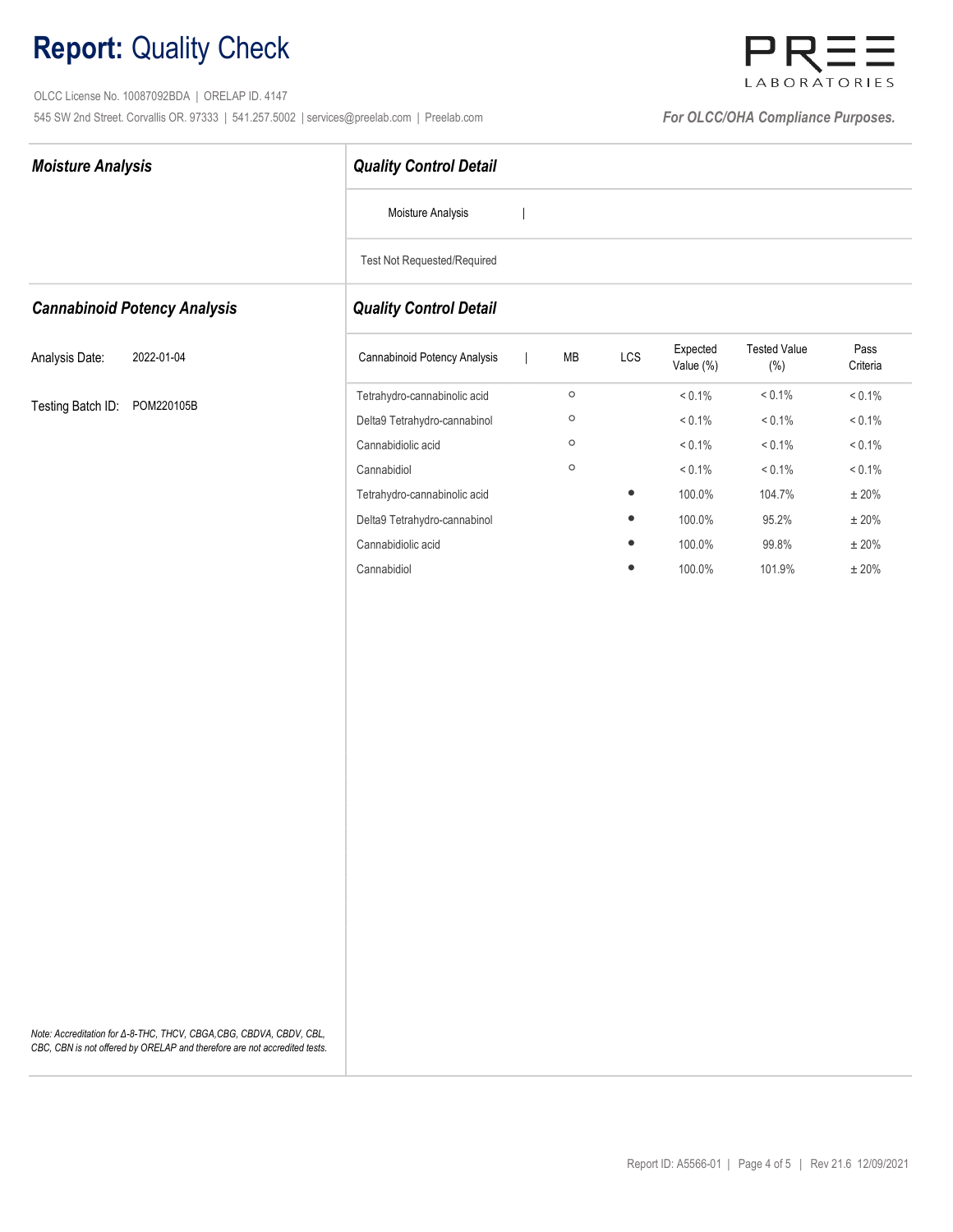# Report: Quality Check

 OLCC License No. 10087092BDA | ORELAP ID. 4147 545 SW 2nd Street. Corvallis OR. 97333 | 541.257.5002 | services@preelab.com | Preelab.com | **For OLCC/OHA Compliance Purposes.** 



| <b>Moisture Analysis</b>            | <b>Quality Control Detail</b>                 |            |           |                       |                            |                  |  |  |  |  |
|-------------------------------------|-----------------------------------------------|------------|-----------|-----------------------|----------------------------|------------------|--|--|--|--|
|                                     | Moisture Analysis<br>$\overline{\phantom{a}}$ |            |           |                       |                            |                  |  |  |  |  |
|                                     | <b>Test Not Requested/Required</b>            |            |           |                       |                            |                  |  |  |  |  |
| <b>Cannabinoid Potency Analysis</b> | <b>Quality Control Detail</b>                 |            |           |                       |                            |                  |  |  |  |  |
| Analysis Date:<br>2022-01-04        | Cannabinoid Potency Analysis                  | ${\sf MB}$ | LCS       | Expected<br>Value (%) | <b>Tested Value</b><br>(%) | Pass<br>Criteria |  |  |  |  |
|                                     | Tetrahydro-cannabinolic acid                  | $\circ$    |           | $< 0.1\%$             | $< 0.1\%$                  | $< 0.1\%$        |  |  |  |  |
| Testing Batch ID: POM220105B        | Delta9 Tetrahydro-cannabinol                  | $\circ$    |           | $< 0.1\%$             | $< 0.1\%$                  | $< 0.1\%$        |  |  |  |  |
|                                     | Cannabidiolic acid                            | $\circ$    |           | $< 0.1\%$             | $< 0.1\%$                  | $< 0.1\%$        |  |  |  |  |
|                                     | Cannabidiol                                   | $\circ$    |           | $< 0.1\%$             | $< 0.1\%$                  | $< 0.1\%$        |  |  |  |  |
|                                     | Tetrahydro-cannabinolic acid                  |            | $\bullet$ | 100.0%                | 104.7%                     | $\pm$ 20%        |  |  |  |  |
|                                     | Delta9 Tetrahydro-cannabinol                  |            | $\bullet$ | 100.0%                | 95.2%                      | $\pm$ 20%        |  |  |  |  |
|                                     | Cannabidiolic acid                            |            |           | 100.0%                | 99.8%                      | $\pm$ 20%        |  |  |  |  |
|                                     | Cannabidiol                                   |            | $\bullet$ | 100.0%                | 101.9%                     | $\pm$ 20%        |  |  |  |  |
|                                     |                                               |            |           |                       |                            |                  |  |  |  |  |
|                                     |                                               |            |           |                       |                            |                  |  |  |  |  |
|                                     |                                               |            |           |                       |                            |                  |  |  |  |  |
|                                     |                                               |            |           |                       |                            |                  |  |  |  |  |
|                                     |                                               |            |           |                       |                            |                  |  |  |  |  |
|                                     |                                               |            |           |                       |                            |                  |  |  |  |  |
|                                     |                                               |            |           |                       |                            |                  |  |  |  |  |
|                                     |                                               |            |           |                       |                            |                  |  |  |  |  |
|                                     |                                               |            |           |                       |                            |                  |  |  |  |  |
|                                     |                                               |            |           |                       |                            |                  |  |  |  |  |

Note: Accreditation for Δ-8-THC, THCV, CBGA,CBG, CBDVA, CBDV, CBL, CBC, CBN is not offered by ORELAP and therefore are not accredited tests.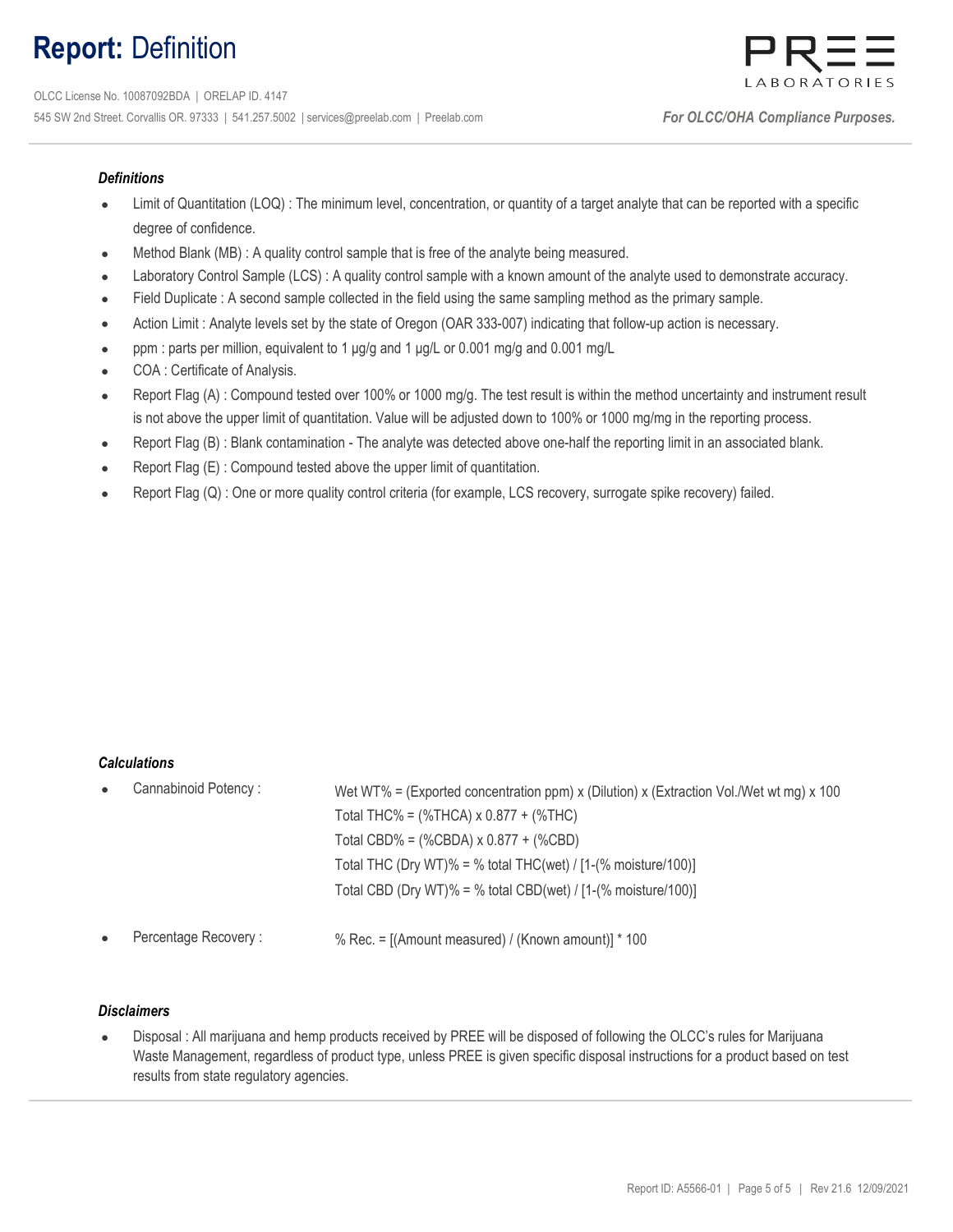# Report: Definition



### **Definitions**

- Limit of Quantitation (LOQ) : The minimum level, concentration, or quantity of a target analyte that can be reported with a specific degree of confidence.
- Method Blank (MB) : A quality control sample that is free of the analyte being measured.
- Laboratory Control Sample (LCS) : A quality control sample with a known amount of the analyte used to demonstrate accuracy.
- Field Duplicate : A second sample collected in the field using the same sampling method as the primary sample.
- Action Limit : Analyte levels set by the state of Oregon (OAR 333-007) indicating that follow-up action is necessary.
- ppm : parts per million, equivalent to 1 μg/g and 1 μg/L or 0.001 mg/g and 0.001 mg/L
- COA : Certificate of Analysis.
- Report Flag (A) : Compound tested over 100% or 1000 mg/g. The test result is within the method uncertainty and instrument result is not above the upper limit of quantitation. Value will be adjusted down to 100% or 1000 mg/mg in the reporting process.
- Report Flag (B) : Blank contamination The analyte was detected above one-half the reporting limit in an associated blank.
- Report Flag (E) : Compound tested above the upper limit of quantitation.
- Report Flag (Q) : One or more quality control criteria (for example, LCS recovery, surrogate spike recovery) failed.

#### **Calculations**

| $\bullet$ | Cannabinoid Potency: | Wet WT% = (Exported concentration ppm) x (Dilution) x (Extraction Vol./Wet wt mg) x 100 |
|-----------|----------------------|-----------------------------------------------------------------------------------------|
|           |                      | Total THC% = $(\%THCA) \times 0.877 + (\%THC)$                                          |
|           |                      | Total CBD% = $(\%$ CBDA) x 0.877 + $(\%$ CBD)                                           |
|           |                      | Total THC (Dry WT)% = % total THC(wet) / $[1-(% \text{ moisture}/100)]$                 |
|           |                      | Total CBD (Dry WT)% = % total CBD(wet) / $[1-(% moisture/100)]$                         |
|           | Percentage Recovery: | % Rec. = $[(Amount measured) / (Known amount)] * 100$                                   |

#### **Disclaimers**

 $\bullet$ Disposal : All marijuana and hemp products received by PREE will be disposed of following the OLCC's rules for Marijuana Waste Management, regardless of product type, unless PREE is given specific disposal instructions for a product based on test results from state regulatory agencies.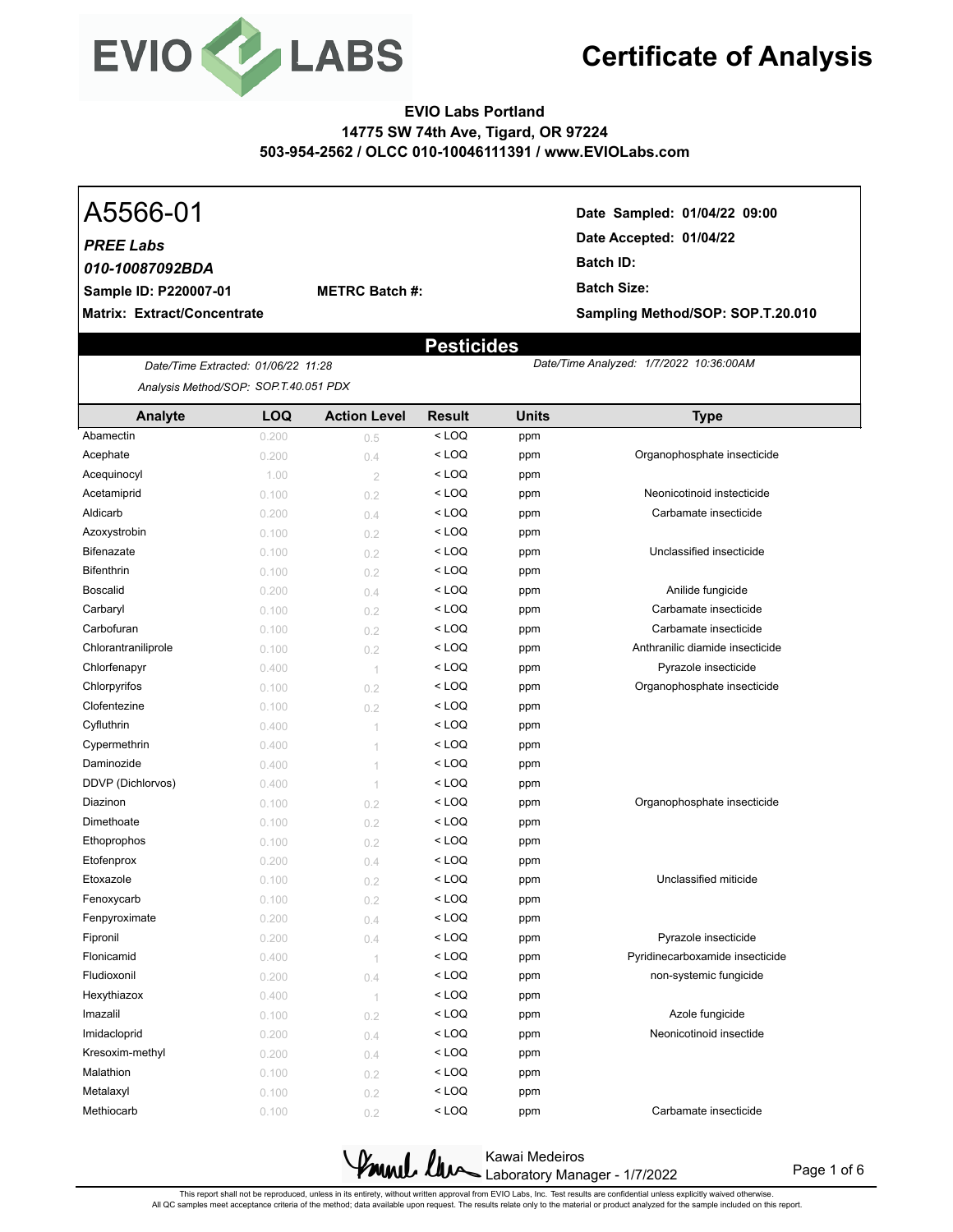

## **EVIO Labs Portland 14775 SW 74th Ave, Tigard, OR 97224 503-954-2562 / OLCC 010-10046111391 / www.EVIOLabs.com**

## *PREE Labs*

**Sample ID: P220007-01** *010-10087092BDA*

**Matrix: Extract/Concentrate**

**METRC Batch #:** 

A5566-01 **Date Sampled: 01/04/22 09:00 Date Accepted: 01/04/22 Batch ID: Batch Size: Sampling Method/SOP: SOP.T.20.010**

 *1/7/2022 10:36:00AM*

## **Pesticides**

*Date/Time Extracted Date/Time Analyzed: : 01/06/22 11:28 Analysis Method/SOP: SOP.T.40.051 PDX*

| Analyte             | <b>LOQ</b> | <b>Action Level</b> | <b>Result</b> | <b>Units</b> | <b>Type</b>                     |
|---------------------|------------|---------------------|---------------|--------------|---------------------------------|
| Abamectin           | 0.200      | 0.5                 | $<$ LOQ       | ppm          |                                 |
| Acephate            | 0.200      | 0.4                 | $<$ LOQ       | ppm          | Organophosphate insecticide     |
| Acequinocyl         | 1.00       | $\overline{2}$      | $<$ LOQ       | ppm          |                                 |
| Acetamiprid         | 0.100      | 0.2                 | $<$ LOQ       | ppm          | Neonicotinoid instecticide      |
| Aldicarb            | 0.200      | 0.4                 | $<$ LOQ       | ppm          | Carbamate insecticide           |
| Azoxystrobin        | 0.100      | 0.2                 | $<$ LOQ       | ppm          |                                 |
| <b>Bifenazate</b>   | 0.100      | 0.2                 | $<$ LOQ       | ppm          | Unclassified insecticide        |
| <b>Bifenthrin</b>   | 0.100      | 0.2                 | $<$ LOQ       | ppm          |                                 |
| <b>Boscalid</b>     | 0.200      | 0.4                 | $<$ LOQ       | ppm          | Anilide fungicide               |
| Carbaryl            | 0.100      | 0.2                 | $<$ LOQ       | ppm          | Carbamate insecticide           |
| Carbofuran          | 0.100      | 0.2                 | $<$ LOQ       | ppm          | Carbamate insecticide           |
| Chlorantraniliprole | 0.100      | 0.2                 | $<$ LOQ       | ppm          | Anthranilic diamide insecticide |
| Chlorfenapyr        | 0.400      | 1                   | $<$ LOQ       | ppm          | Pyrazole insecticide            |
| Chlorpyrifos        | 0.100      | 0.2                 | $<$ LOQ       | ppm          | Organophosphate insecticide     |
| Clofentezine        | 0.100      | 0.2                 | $<$ LOQ       | ppm          |                                 |
| Cyfluthrin          | 0.400      | 1                   | $<$ LOQ       | ppm          |                                 |
| Cypermethrin        | 0.400      | 1                   | < LOQ         | ppm          |                                 |
| Daminozide          | 0.400      | 1                   | $<$ LOQ       | ppm          |                                 |
| DDVP (Dichlorvos)   | 0.400      | 1                   | $<$ LOQ       | ppm          |                                 |
| Diazinon            | 0.100      | 0.2                 | $<$ LOQ       | ppm          | Organophosphate insecticide     |
| Dimethoate          | 0.100      | 0.2                 | $<$ LOQ       | ppm          |                                 |
| Ethoprophos         | 0.100      | 0.2                 | $<$ LOQ       | ppm          |                                 |
| Etofenprox          | 0.200      | 0.4                 | $<$ LOQ       | ppm          |                                 |
| Etoxazole           | 0.100      | 0.2                 | < LOQ         | ppm          | Unclassified miticide           |
| Fenoxycarb          | 0.100      | 0.2                 | $<$ LOQ       | ppm          |                                 |
| Fenpyroximate       | 0.200      | 0.4                 | $<$ LOQ       | ppm          |                                 |
| Fipronil            | 0.200      | 0.4                 | $<$ LOQ       | ppm          | Pyrazole insecticide            |
| Flonicamid          | 0.400      | 1                   | $<$ LOQ       | ppm          | Pyridinecarboxamide insecticide |
| Fludioxonil         | 0.200      | 0.4                 | $<$ LOQ       | ppm          | non-systemic fungicide          |
| Hexythiazox         | 0.400      | -1                  | $<$ LOQ       | ppm          |                                 |
| Imazalil            | 0.100      | 0.2                 | $<$ LOQ       | ppm          | Azole fungicide                 |
| Imidacloprid        | 0.200      | 0.4                 | < LOQ         | ppm          | Neonicotinoid insectide         |
| Kresoxim-methyl     | 0.200      | 0.4                 | $<$ LOQ       | ppm          |                                 |
| Malathion           | 0.100      | 0.2                 | $<$ LOQ       | ppm          |                                 |
| Metalaxyl           | 0.100      | 0.2                 | $<$ LOQ       | ppm          |                                 |
| Methiocarb          | 0.100      | 0.2                 | $<$ LOQ       | ppm          | Carbamate insecticide           |

Kawai Medeiros Laboratory Manager - 1/7/2022

Page 1 of 6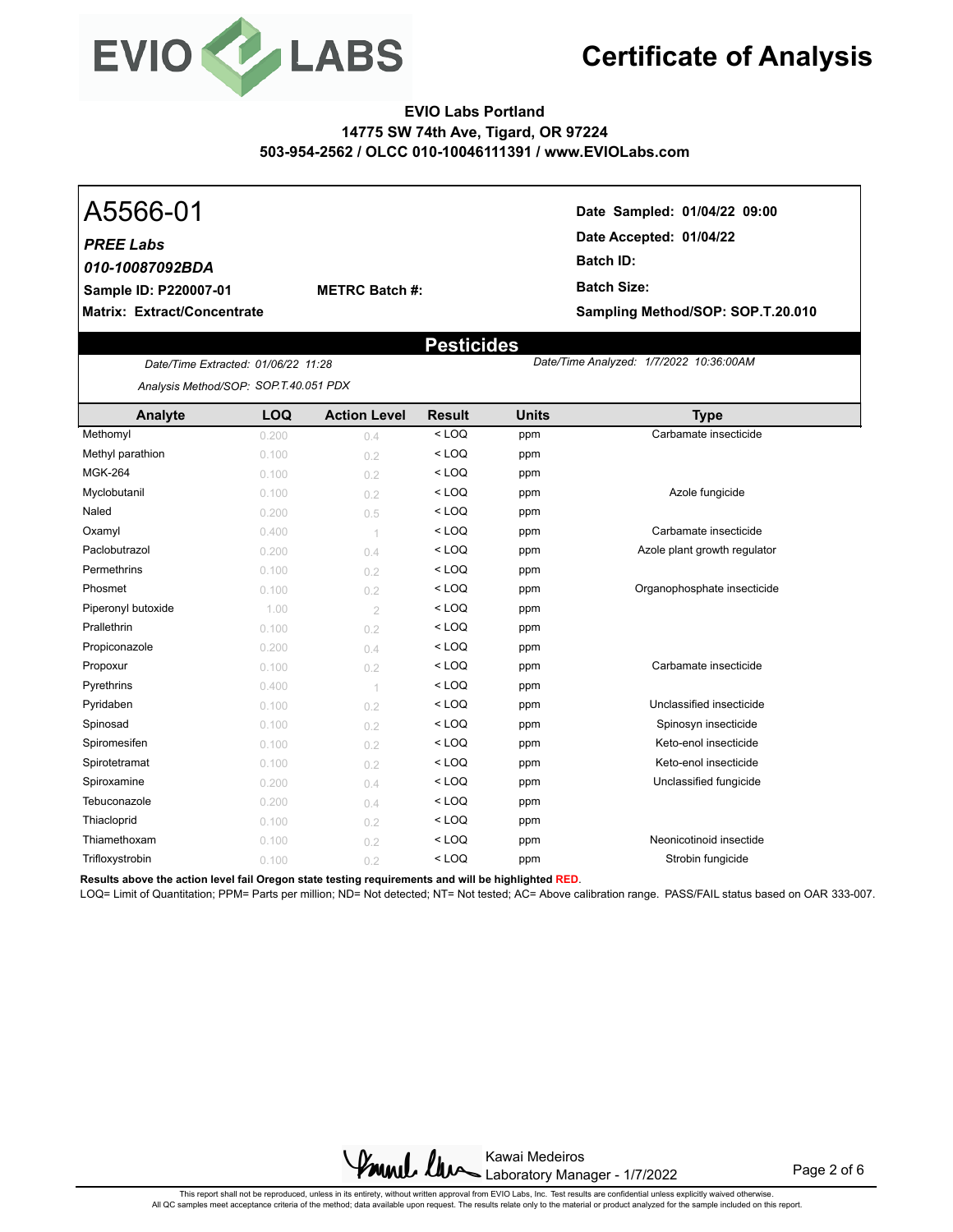

## **EVIO Labs Portland 14775 SW 74th Ave, Tigard, OR 97224 503-954-2562 / OLCC 010-10046111391 / www.EVIOLabs.com**

## **Sample ID: P220007-01** *PREE Labs 010-10087092BDA*

**METRC Batch #:** 

**Matrix: Extract/Concentrate**

A5566-01 **Date Sampled: 01/04/22 09:00 Date Accepted: 01/04/22 Batch ID: Batch Size: Sampling Method/SOP: SOP.T.20.010**

 *1/7/2022 10:36:00AM*

## **Pesticides**

*Date/Time Extracted Date/Time Analyzed: : 01/06/22 11:28 Analysis Method/SOP: SOP.T.40.051 PDX*

**Analyte LOQ Action Level Result Units Type** Methomyl 0.200 0.4 < LOQ ppm Carbamate insecticide Methyl parathion  $0.100$  0.2 < LOQ ppm **MGK-264** 0.100 0.100 **cm**  $\bullet$  **2**  $\bullet$  **LOQ** ppm Myclobutanil 0.100 0.2 < LOQ ppm Azole fungicide Naled  $0.200$   $0.5$   $\times$  LOQ ppm Oxamyl  $0.400$   $1$   $\leq$  LOQ ppm Carbamate insecticide Paclobutrazol  $0.200$  0.4  $\leq$  LOQ ppm Azole plant growth regulator **Permethrins**  $0.100$  $0.2$  $\times$  **LOQ ppm** Phosmet 0.100 0.2 < LOQ ppm Organophosphate insecticide Piperonyl butoxide 1.00 2 < LOQ ppm **Prallethrin**  $0.100$   $0.2$   $\times$  LOQ ppm Propiconazole 0.200 0.200 <LOQ ppm Propoxur **Carbamate insecticide** 0.100 0.2 < LOQ ppm **Carbamate insecticide** Pyrethrins  $0.400$   $1$   $\leq$  LOQ ppm Pyridaben 0.100 0.2 < LOQ ppm Unclassified insecticide Spinosad 0.100 0.2 < LOQ ppm Spinosyn insecticide Spiromesifen **by CO** 0.100 0.2 < LOQ ppm **Keto-enol insecticide** Spirotetramat **1.100** 0.100 0.2 < LOQ ppm Keto-enol insecticide Spiroxamine **1.200** 0.200 0.4 < LOQ ppm Unclassified fungicide Tebuconazole  $0.200$  0.4  $\leq$  LOQ ppm Thiacloprid  $0.100$   $0.2$   $\leq$  LOQ ppm Thiamethoxam **0.100** 0.100 0.2 < LOQ ppm Neonicotinoid insectide Trifloxystrobin 0.100 0.2 < LOQ ppm Strobin fungicide

**Results above the action level fail Oregon state testing requirements and will be highlighted RED**.

LOQ= Limit of Quantitation; PPM= Parts per million; ND= Not detected; NT= Not tested; AC= Above calibration range. PASS/FAIL status based on OAR 333-007.



Page 2 of 6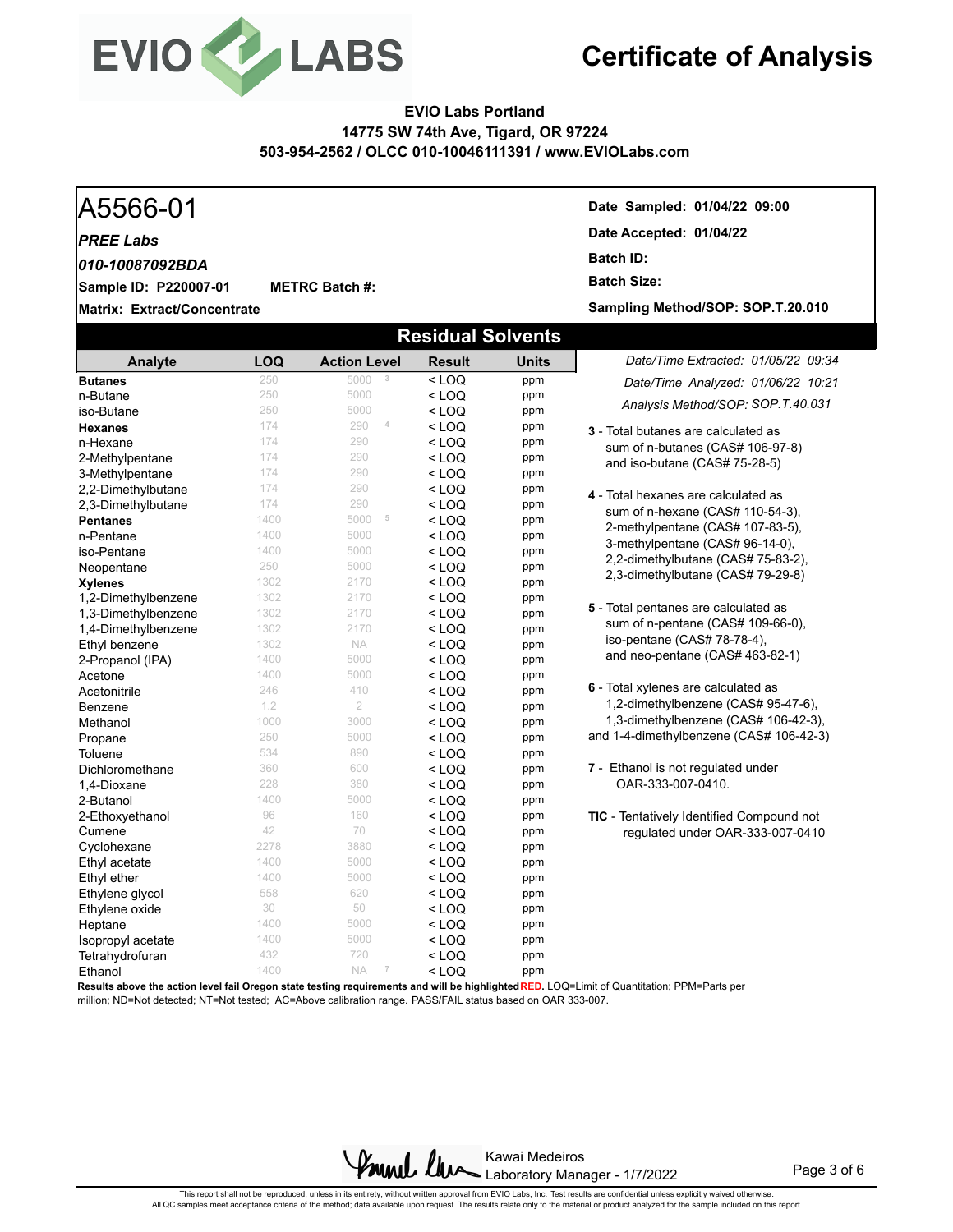

## **EVIO Labs Portland 14775 SW 74th Ave, Tigard, OR 97224 503-954-2562 / OLCC 010-10046111391 / www.EVIOLabs.com**

#### A5566-01 **Date Sampled: 01/04/22 09:00 Matrix: Extract/Concentrate Date Accepted: 01/04/22 Sample ID: P220007-01** *PREE Labs* **METRC Batch #: Batch ID: Batch Size:**  *010-10087092BDA* **Sampling Method/SOP: SOP.T.20.010 Residual Solvents** *Date/Time Extracted: 01/05/22 09:34 Date/Time Analyzed: 01/06/22 10:21* **Analyte LOQ Action Level Result Units Butanes** 250 5000 **3** < LOQ ppm

**3** - Total butanes are calculated as sum of n-butanes (CAS# 106-97-8) and iso-butane (CAS# 75-28-5) **4** - Total hexanes are calculated as sum of n-hexane (CAS# 110-54-3), 2-methylpentane (CAS# 107-83-5), 3-methylpentane (CAS# 96-14-0), 2,2-dimethylbutane (CAS# 75-83-2), 2,3-dimethylbutane (CAS# 79-29-8) **5** - Total pentanes are calculated as sum of n-pentane (CAS# 109-66-0), iso-pentane (CAS# 78-78-4), and neo-pentane (CAS# 463-82-1) **6** - Total xylenes are calculated as 1,2-dimethylbenzene (CAS# 95-47-6), 1,3-dimethylbenzene (CAS# 106-42-3), and 1-4-dimethylbenzene (CAS# 106-42-3) **7** - Ethanol is not regulated under OAR-333-007-0410. **TIC** - Tentatively Identified Compound not regulated under OAR-333-007-0410 *Analysis Method/SOP: SOP.T.40.031* **n-Butane** 250  $250$  5000  $\leq$  **LOQ** ppm iso-Butane 250 250 5000 < LOQ ppm **Hexanes** 174 290 **4 < LOQ** ppm **n-Hexane** 174  $174$  290  $\leq$  **LOQ** ppm 2-Methylpentane 174 290 < LOQ ppm 3-Methylpentane  $174$  290  $\leq$  LOQ ppm<br>2.2-Dimethylbutane  $174$  290  $\leq$  LOQ ppm 2,2-Dimethylbutane  $174$   $290$  < LOQ ppm<br>2.3-Dimethylbutane  $174$   $290$  < LOO ppm 2,3-Dimethylbutane 174 290 < LOQ ppm **Pentanes** 1400 5000 **5 < LOQ ppm**<br>
1400 5000 < LOQ ppm **n-Pentane** 1400  $1400$  5000  $\leq$  LOQ ppm iso-Pentane 1400 5000 < LOQ ppm **Neopentane 250 5000 < LOQ ppm<br>
Xvienes** 1302 2170 < LOQ ppm **Xylenes** 1302 2170 < LOQ ppm 1,2-Dimethylbenzene 1302 2170 < LOQ ppm **1,3-Dimethylbenzene** 1302 2170 < LOQ ppm<br> **1.4-Dimethylbenzene** 1302 2170 < LOQ ppm 1,4-Dimethylbenzene 1302 2170 < LOQ ppm **Ethyl benzene** 1302 NA < LOQ ppm<br>
2-Propanol (IPA) 1400 5000 < LOQ ppm **2-Propanol (IPA)** 1400 5000 < LOQ ppm<br> **Acefone** 1400 5000 < LOQ ppm **Acetone 1400** 5000 **< LOQ ppm** Acetonitrile  $246$   $410$   $\leq$  LOQ ppm **Benzene** 1.2 2 < **LOQ** ppm **Methanol** 1000 3000 < LOQ ppm **Propane** 250  $250$  5000  $\leq$  **LOQ** ppm Toluene  $534$   $890$   $\leq$  LOQ ppm Dichloromethane 360 600 < LOQ ppm 1,4-Dioxane 228 380 < LOQ ppm **2-Butanol** 1400 5000 < LOQ ppm **2-Ethoxyethanol** 96 160 < LOQ ppm<br>
Cumene 42 70 < LOQ ppm **Cumene**  $42$   $70$   $\leq$  **LOQ** ppm **Cyclohexane** 2278 3880 < **LOQ** ppm<br>
Ethyl acetate 1400 5000 < LOQ ppm Ethyl acetate 1400 5000 < LOQ ppm Ethyl ether 1400 5000 < LOQ ppm Ethylene glycol 558 620 < LOQ ppm Ethylene oxide  $\begin{array}{ccc} 30 & 50 & < LOQ \\ 1400 & 5000 & < LOQ \end{array}$  ppm  $\text{Heptane}$  1400 5000  $\text{LOQ}$  ppm **Isopropyl acetate** 1400 5000 < LOQ ppm Tetrahydrofuran 432 720 < LOQ ppm **Ethanol** 1400 NA **7** < LOQ ppm

**Results above the action level fail Oregon state testing requirements and will be highlighted RED.** LOQ=Limit of Quantitation; PPM=Parts per million; ND=Not detected; NT=Not tested; AC=Above calibration range. PASS/FAIL status based on OAR 333-007.

> Kawai Medeiros Laboratory Manager - 1/7/2022

Page 3 of 6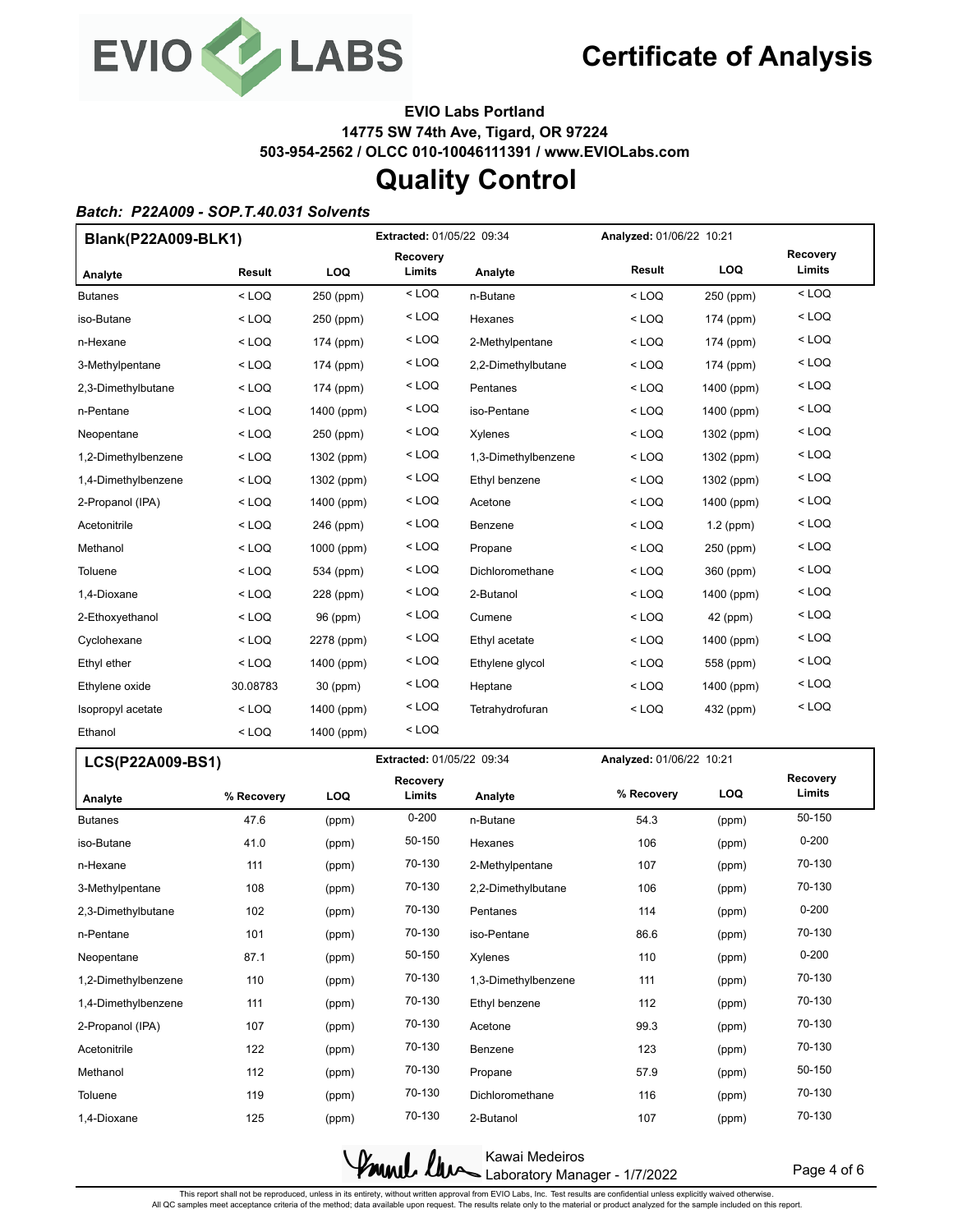

**EVIO Labs Portland 14775 SW 74th Ave, Tigard, OR 97224 503-954-2562 / OLCC 010-10046111391 / www.EVIOLabs.com**

## **Quality Control**

### *Batch: P22A009 - SOP.T.40.031 Solvents*

| Blank(P22A009-BLK1) |          |            | <b>Extracted: 01/05/22 09:34</b> |                     |         | Analyzed: 01/06/22 10:21 |                    |  |
|---------------------|----------|------------|----------------------------------|---------------------|---------|--------------------------|--------------------|--|
| Analyte             | Result   | LOQ        | <b>Recovery</b><br>Limits        | Analyte             | Result  | LOQ                      | Recovery<br>Limits |  |
| <b>Butanes</b>      | $<$ LOQ  | 250 (ppm)  | $<$ LOQ                          | n-Butane            | $<$ LOQ | 250 (ppm)                | $<$ LOQ            |  |
| iso-Butane          | $<$ LOQ  | 250 (ppm)  | $<$ LOQ                          | Hexanes             | $<$ LOQ | 174 (ppm)                | $<$ LOQ            |  |
| n-Hexane            | $<$ LOQ  | 174 (ppm)  | $<$ LOQ                          | 2-Methylpentane     | $<$ LOQ | 174 (ppm)                | $<$ LOQ            |  |
| 3-Methylpentane     | $<$ LOQ  | 174 (ppm)  | $<$ LOQ                          | 2,2-Dimethylbutane  | $<$ LOQ | 174 (ppm)                | $<$ LOQ            |  |
| 2,3-Dimethylbutane  | $<$ LOQ  | 174 (ppm)  | $<$ LOQ                          | Pentanes            | $<$ LOQ | 1400 (ppm)               | $<$ LOQ            |  |
| n-Pentane           | $<$ LOQ  | 1400 (ppm) | $<$ LOQ                          | iso-Pentane         | $<$ LOQ | 1400 (ppm)               | $<$ LOQ            |  |
| Neopentane          | $<$ LOQ  | 250 (ppm)  | $<$ LOQ                          | Xylenes             | $<$ LOQ | 1302 (ppm)               | $<$ LOQ            |  |
| 1,2-Dimethylbenzene | $<$ LOQ  | 1302 (ppm) | $<$ LOQ                          | 1,3-Dimethylbenzene | $<$ LOQ | 1302 (ppm)               | $<$ LOQ            |  |
| 1,4-Dimethylbenzene | $<$ LOQ  | 1302 (ppm) | $<$ LOQ                          | Ethyl benzene       | $<$ LOQ | 1302 (ppm)               | $<$ LOQ            |  |
| 2-Propanol (IPA)    | $<$ LOQ  | 1400 (ppm) | $<$ LOQ                          | Acetone             | $<$ LOQ | 1400 (ppm)               | $<$ LOQ            |  |
| Acetonitrile        | $<$ LOQ  | 246 (ppm)  | $<$ LOQ                          | Benzene             | $<$ LOQ | $1.2$ (ppm)              | $<$ LOQ            |  |
| Methanol            | $<$ LOQ  | 1000 (ppm) | $<$ LOQ                          | Propane             | $<$ LOQ | 250 (ppm)                | $<$ LOQ            |  |
| Toluene             | $<$ LOQ  | 534 (ppm)  | $<$ LOQ                          | Dichloromethane     | $<$ LOQ | 360 (ppm)                | $<$ LOQ            |  |
| 1,4-Dioxane         | $<$ LOQ  | 228 (ppm)  | $<$ LOQ                          | 2-Butanol           | $<$ LOQ | 1400 (ppm)               | $<$ LOQ            |  |
| 2-Ethoxyethanol     | $<$ LOQ  | 96 (ppm)   | $<$ LOQ                          | Cumene              | $<$ LOQ | 42 (ppm)                 | $<$ LOQ            |  |
| Cyclohexane         | $<$ LOQ  | 2278 (ppm) | $<$ LOQ                          | Ethyl acetate       | $<$ LOQ | 1400 (ppm)               | $<$ LOQ            |  |
| Ethyl ether         | $<$ LOQ  | 1400 (ppm) | $<$ LOQ                          | Ethylene glycol     | $<$ LOQ | 558 (ppm)                | $<$ LOQ            |  |
| Ethylene oxide      | 30.08783 | 30 (ppm)   | $<$ LOQ                          | Heptane             | $<$ LOQ | 1400 (ppm)               | $<$ LOQ            |  |
| Isopropyl acetate   | $<$ LOQ  | 1400 (ppm) | $<$ LOQ                          | Tetrahydrofuran     | $<$ LOQ | 432 (ppm)                | $<$ LOQ            |  |
| Ethanol             | $<$ LOQ  | 1400 (ppm) | $<$ LOQ                          |                     |         |                          |                    |  |

| LCS(P22A009-BS1)    |            |            | Extracted: 01/05/22 09:34 |                     | Analyzed: 01/06/22 10:21 |       |                    |
|---------------------|------------|------------|---------------------------|---------------------|--------------------------|-------|--------------------|
| Analyte             | % Recovery | <b>LOQ</b> | Recovery<br>Limits        | Analyte             | % Recovery               | LOQ   | Recovery<br>Limits |
| <b>Butanes</b>      | 47.6       | (ppm)      | $0 - 200$                 | n-Butane            | 54.3                     | (ppm) | 50-150             |
| iso-Butane          | 41.0       | (ppm)      | 50-150                    | Hexanes             | 106                      | (ppm) | $0 - 200$          |
| n-Hexane            | 111        | (ppm)      | 70-130                    | 2-Methylpentane     | 107                      | (ppm) | 70-130             |
| 3-Methylpentane     | 108        | (ppm)      | 70-130                    | 2,2-Dimethylbutane  | 106                      | (ppm) | 70-130             |
| 2,3-Dimethylbutane  | 102        | (ppm)      | 70-130                    | Pentanes            | 114                      | (ppm) | $0 - 200$          |
| n-Pentane           | 101        | (ppm)      | 70-130                    | iso-Pentane         | 86.6                     | (ppm) | 70-130             |
| Neopentane          | 87.1       | (ppm)      | 50-150                    | Xylenes             | 110                      | (ppm) | $0 - 200$          |
| 1,2-Dimethylbenzene | 110        | (ppm)      | 70-130                    | 1,3-Dimethylbenzene | 111                      | (ppm) | 70-130             |
| 1,4-Dimethylbenzene | 111        | (ppm)      | 70-130                    | Ethyl benzene       | 112                      | (ppm) | 70-130             |
| 2-Propanol (IPA)    | 107        | (ppm)      | 70-130                    | Acetone             | 99.3                     | (ppm) | 70-130             |
| Acetonitrile        | 122        | (ppm)      | 70-130                    | Benzene             | 123                      | (ppm) | 70-130             |
| Methanol            | 112        | (ppm)      | 70-130                    | Propane             | 57.9                     | (ppm) | 50-150             |
| Toluene             | 119        | (ppm)      | 70-130                    | Dichloromethane     | 116                      | (ppm) | 70-130             |
| 1.4-Dioxane         | 125        | (ppm)      | 70-130                    | 2-Butanol           | 107                      | (ppm) | 70-130             |



Page 4 of 6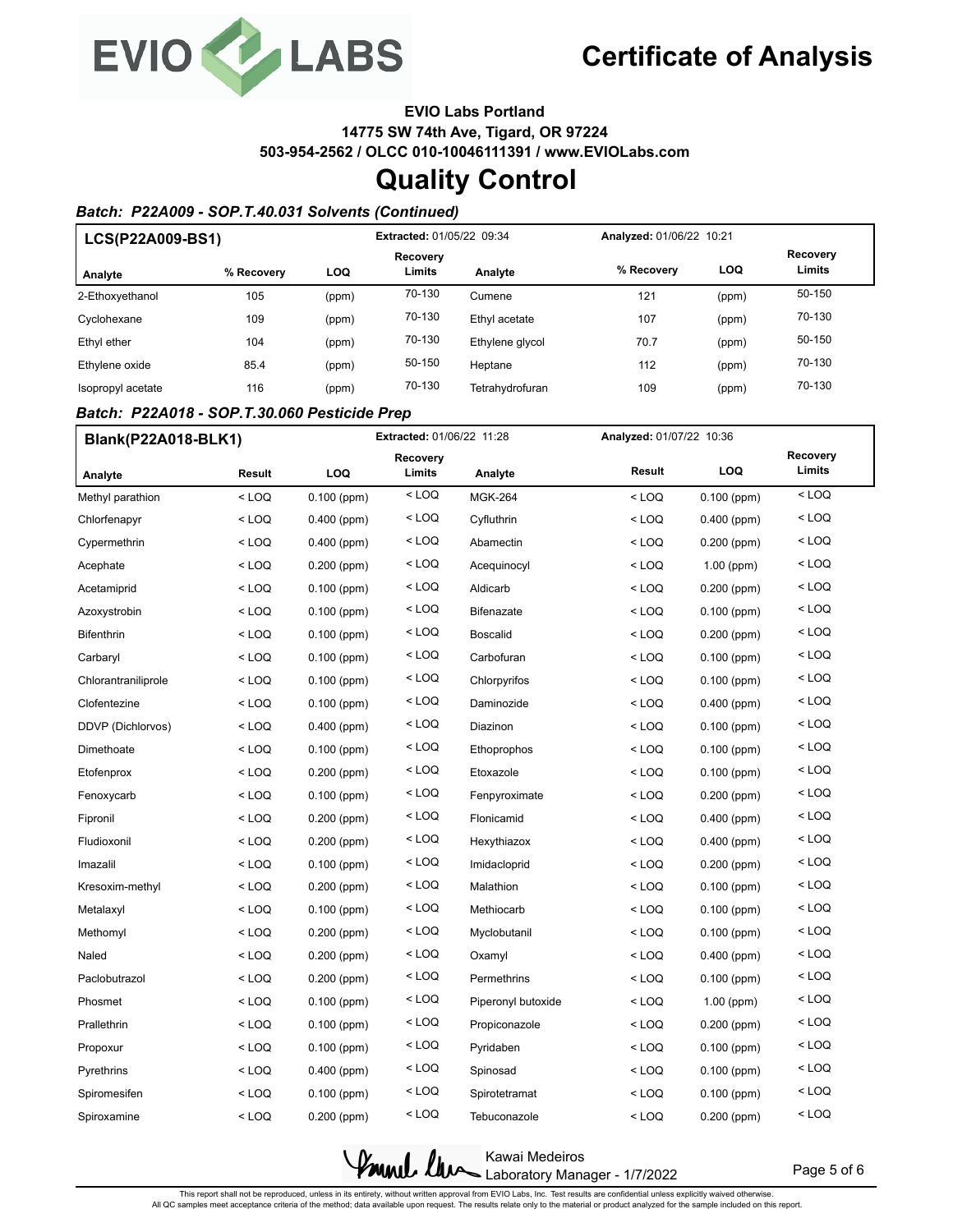

**EVIO Labs Portland**

**14775 SW 74th Ave, Tigard, OR 97224**

**503-954-2562 / OLCC 010-10046111391 / www.EVIOLabs.com**

## **Quality Control**

## *Batch: P22A009 - SOP.T.40.031 Solvents (Continued)*

| LCS(P22A009-BS1)  |            |       | Extracted: 01/05/22 09:34 |                 |            | Analyzed: 01/06/22 10:21 |                    |
|-------------------|------------|-------|---------------------------|-----------------|------------|--------------------------|--------------------|
| Analyte           | % Recovery | LOQ   | Recovery<br>Limits        | Analyte         | % Recovery | LOQ                      | Recovery<br>Limits |
| 2-Ethoxyethanol   | 105        | (ppm) | 70-130                    | Cumene          | 121        | (ppm)                    | 50-150             |
| Cyclohexane       | 109        | (ppm) | 70-130                    | Ethyl acetate   | 107        | (ppm)                    | 70-130             |
| Ethyl ether       | 104        | (ppm) | 70-130                    | Ethylene glycol | 70.7       | (ppm)                    | 50-150             |
| Ethylene oxide    | 85.4       | (ppm) | 50-150                    | Heptane         | 112        | (ppm)                    | 70-130             |
| Isopropyl acetate | 116        | (ppm) | 70-130                    | Tetrahydrofuran | 109        | (ppm)                    | 70-130             |

### *Batch: P22A018 - SOP.T.30.060 Pesticide Prep*

| Blank(P22A018-BLK1) |         | <b>Extracted: 01/06/22 11:28</b> |          |                    | Analyzed: 01/07/22 10:36                                                           |               |                    |
|---------------------|---------|----------------------------------|----------|--------------------|------------------------------------------------------------------------------------|---------------|--------------------|
|                     |         |                                  | Recovery |                    | Result                                                                             | LOQ           | Recovery<br>Limits |
| Analyte             | Result  | LOQ                              | Limits   | Analyte            |                                                                                    |               |                    |
| Methyl parathion    | $<$ LOQ | $0.100$ (ppm)                    | $<$ LOQ  | <b>MGK-264</b>     | $<$ LOQ                                                                            | $0.100$ (ppm) | $<$ LOQ            |
| Chlorfenapyr        | < LOQ   | 0.400 (ppm)                      | $<$ LOQ  | Cyfluthrin         | <loq< td=""><td><math>0.400</math> (ppm)</td><td><math>&lt;</math> LOQ</td></loq<> | $0.400$ (ppm) | $<$ LOQ            |
| Cypermethrin        | $<$ LOQ | $0.400$ (ppm)                    | $<$ LOQ  | Abamectin          | $<$ LOQ                                                                            | 0.200 (ppm)   | $<$ LOQ            |
| Acephate            | $<$ LOQ | $0.200$ (ppm)                    | $<$ LOQ  | Acequinocyl        | $<$ LOQ                                                                            | 1.00 (ppm)    | $<$ LOQ            |
| Acetamiprid         | $<$ LOQ | $0.100$ (ppm)                    | $<$ LOQ  | Aldicarb           | $<$ LOQ                                                                            | $0.200$ (ppm) | $<$ LOQ            |
| Azoxystrobin        | $<$ LOQ | $0.100$ (ppm)                    | $<$ LOQ  | Bifenazate         | $<$ LOQ                                                                            | $0.100$ (ppm) | $<$ LOQ            |
| Bifenthrin          | $<$ LOQ | $0.100$ (ppm)                    | $<$ LOQ  | <b>Boscalid</b>    | $<$ LOQ                                                                            | 0.200 (ppm)   | $<$ LOQ            |
| Carbaryl            | $<$ LOQ | $0.100$ (ppm)                    | $<$ LOQ  | Carbofuran         | $<$ LOQ                                                                            | $0.100$ (ppm) | $<$ LOQ            |
| Chlorantraniliprole | $<$ LOQ | $0.100$ (ppm)                    | $<$ LOQ  | Chlorpyrifos       | $<$ LOQ                                                                            | $0.100$ (ppm) | $<$ LOQ            |
| Clofentezine        | < LOQ   | $0.100$ (ppm)                    | $<$ LOQ  | Daminozide         | $<$ LOQ                                                                            | $0.400$ (ppm) | $<$ LOQ            |
| DDVP (Dichlorvos)   | < LOQ   | $0.400$ (ppm)                    | $<$ LOQ  | Diazinon           | $<$ LOQ                                                                            | $0.100$ (ppm) | $<$ LOQ            |
| Dimethoate          | $<$ LOQ | $0.100$ (ppm)                    | $<$ LOQ  | Ethoprophos        | $<$ LOQ                                                                            | $0.100$ (ppm) | $<$ LOQ            |
| Etofenprox          | $<$ LOQ | $0.200$ (ppm)                    | $<$ LOQ  | Etoxazole          | $<$ LOQ                                                                            | $0.100$ (ppm) | $<$ LOQ            |
| Fenoxycarb          | $<$ LOQ | $0.100$ (ppm)                    | $<$ LOQ  | Fenpyroximate      | $<$ LOQ                                                                            | $0.200$ (ppm) | $<$ LOQ            |
| Fipronil            | $<$ LOQ | $0.200$ (ppm)                    | $<$ LOQ  | Flonicamid         | $<$ LOQ                                                                            | $0.400$ (ppm) | $<$ LOQ            |
| Fludioxonil         | $<$ LOQ | $0.200$ (ppm)                    | $<$ LOQ  | Hexythiazox        | $<$ LOQ                                                                            | $0.400$ (ppm) | $<$ LOQ            |
| Imazalil            | $<$ LOQ | $0.100$ (ppm)                    | $<$ LOQ  | Imidacloprid       | $<$ LOQ                                                                            | $0.200$ (ppm) | $<$ LOQ            |
| Kresoxim-methyl     | < LOQ   | $0.200$ (ppm)                    | $<$ LOQ  | Malathion          | $<$ LOQ                                                                            | $0.100$ (ppm) | $<$ LOQ            |
| Metalaxyl           | < LOQ   | $0.100$ (ppm)                    | $<$ LOQ  | Methiocarb         | $<$ LOQ                                                                            | $0.100$ (ppm) | $<$ LOQ            |
| Methomyl            | $<$ LOQ | $0.200$ (ppm)                    | $<$ LOQ  | Myclobutanil       | $<$ LOQ                                                                            | $0.100$ (ppm) | $<$ LOQ            |
| Naled               | $<$ LOQ | $0.200$ (ppm)                    | $<$ LOQ  | Oxamyl             | $<$ LOQ                                                                            | $0.400$ (ppm) | $<$ LOQ            |
| Paclobutrazol       | < LOQ   | $0.200$ (ppm)                    | < LOQ    | Permethrins        | $<$ LOQ                                                                            | $0.100$ (ppm) | $<$ LOQ            |
| Phosmet             | $<$ LOQ | $0.100$ (ppm)                    | $<$ LOQ  | Piperonyl butoxide | $<$ LOQ                                                                            | $1.00$ (ppm)  | $<$ LOQ            |
| Prallethrin         | $<$ LOQ | $0.100$ (ppm)                    | $<$ LOQ  | Propiconazole      | $<$ LOQ                                                                            | 0.200 (ppm)   | $<$ LOQ            |
| Propoxur            | < LOQ   | $0.100$ (ppm)                    | $<$ LOQ  | Pyridaben          | $<$ LOQ                                                                            | $0.100$ (ppm) | $<$ LOQ            |
| Pyrethrins          | < LOQ   | $0.400$ (ppm)                    | < LOQ    | Spinosad           | $<$ LOQ                                                                            | $0.100$ (ppm) | $<$ LOQ            |
| Spiromesifen        | < LOQ   | $0.100$ (ppm)                    | $<$ LOQ  | Spirotetramat      | $<$ LOQ                                                                            | $0.100$ (ppm) | $<$ LOQ            |
| Spiroxamine         | < LOQ   | $0.200$ (ppm)                    | $<$ LOQ  | Tebuconazole       | $<$ LOQ                                                                            | 0.200 (ppm)   | $<$ LOQ            |

Kawai Medeiros Laboratory Manager - 1/7/2022

Page 5 of 6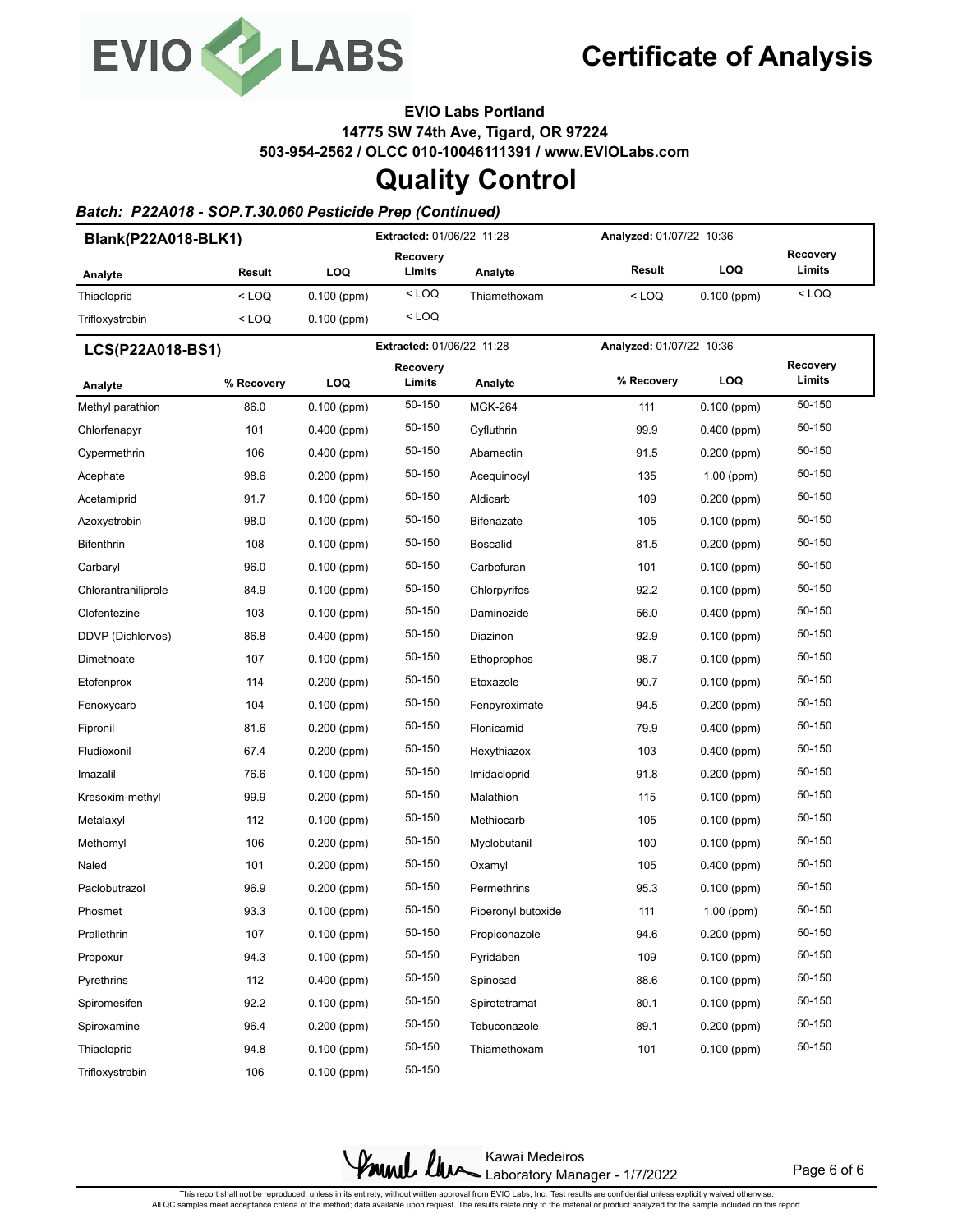

**EVIO Labs Portland**

**14775 SW 74th Ave, Tigard, OR 97224**

**503-954-2562 / OLCC 010-10046111391 / www.EVIOLabs.com**

## **Quality Control**

## *Batch: P22A018 - SOP.T.30.060 Pesticide Prep (Continued)*

| Blank(P22A018-BLK1) |            |               | <b>Extracted: 01/06/22 11:28</b> |                    |                          | Analyzed: 01/07/22 10:36 |                    |
|---------------------|------------|---------------|----------------------------------|--------------------|--------------------------|--------------------------|--------------------|
| Analyte             | Result     | LOQ           | Recovery<br>Limits               | Analyte            | Result                   | <b>LOQ</b>               | Recovery<br>Limits |
| Thiacloprid         | $<$ LOQ    | $0.100$ (ppm) | $<$ LOQ                          | Thiamethoxam       | $<$ LOQ                  | $0.100$ (ppm)            | $<$ LOQ            |
| Trifloxystrobin     | $<$ LOQ    | $0.100$ (ppm) | $<$ LOQ                          |                    |                          |                          |                    |
| LCS(P22A018-BS1)    |            |               | Extracted: 01/06/22 11:28        |                    | Analyzed: 01/07/22 10:36 |                          |                    |
| Analyte             | % Recovery | LOQ           | Recovery<br>Limits               | Analyte            | % Recovery               | <b>LOQ</b>               | Recovery<br>Limits |
| Methyl parathion    | 86.0       | $0.100$ (ppm) | 50-150                           | <b>MGK-264</b>     | 111                      | $0.100$ (ppm)            | 50-150             |
| Chlorfenapyr        | 101        | $0.400$ (ppm) | 50-150                           | Cyfluthrin         | 99.9                     | $0.400$ (ppm)            | 50-150             |
| Cypermethrin        | 106        | $0.400$ (ppm) | 50-150                           | Abamectin          | 91.5                     | $0.200$ (ppm)            | 50-150             |
| Acephate            | 98.6       | $0.200$ (ppm) | 50-150                           | Acequinocyl        | 135                      | $1.00$ (ppm)             | 50-150             |
| Acetamiprid         | 91.7       | $0.100$ (ppm) | 50-150                           | Aldicarb           | 109                      | 0.200 (ppm)              | 50-150             |
| Azoxystrobin        | 98.0       | $0.100$ (ppm) | 50-150                           | <b>Bifenazate</b>  | 105                      | $0.100$ (ppm)            | 50-150             |
| Bifenthrin          | 108        | $0.100$ (ppm) | 50-150                           | <b>Boscalid</b>    | 81.5                     | $0.200$ (ppm)            | 50-150             |
| Carbaryl            | 96.0       | $0.100$ (ppm) | 50-150                           | Carbofuran         | 101                      | $0.100$ (ppm)            | 50-150             |
| Chlorantraniliprole | 84.9       | $0.100$ (ppm) | 50-150                           | Chlorpyrifos       | 92.2                     | $0.100$ (ppm)            | 50-150             |
| Clofentezine        | 103        | $0.100$ (ppm) | 50-150                           | Daminozide         | 56.0                     | $0.400$ (ppm)            | 50-150             |
| DDVP (Dichlorvos)   | 86.8       | $0.400$ (ppm) | 50-150                           | Diazinon           | 92.9                     | $0.100$ (ppm)            | 50-150             |
| Dimethoate          | 107        | $0.100$ (ppm) | 50-150                           | Ethoprophos        | 98.7                     | $0.100$ (ppm)            | 50-150             |
| Etofenprox          | 114        | $0.200$ (ppm) | 50-150                           | Etoxazole          | 90.7                     | $0.100$ (ppm)            | 50-150             |
| Fenoxycarb          | 104        | $0.100$ (ppm) | 50-150                           | Fenpyroximate      | 94.5                     | $0.200$ (ppm)            | 50-150             |
| Fipronil            | 81.6       | $0.200$ (ppm) | 50-150                           | Flonicamid         | 79.9                     | $0.400$ (ppm)            | 50-150             |
| Fludioxonil         | 67.4       | $0.200$ (ppm) | 50-150                           | Hexythiazox        | 103                      | $0.400$ (ppm)            | 50-150             |
| Imazalil            | 76.6       | $0.100$ (ppm) | 50-150                           | Imidacloprid       | 91.8                     | $0.200$ (ppm)            | 50-150             |
| Kresoxim-methyl     | 99.9       | 0.200 (ppm)   | 50-150                           | Malathion          | 115                      | $0.100$ (ppm)            | 50-150             |
| Metalaxyl           | 112        | $0.100$ (ppm) | 50-150                           | Methiocarb         | 105                      | $0.100$ (ppm)            | 50-150             |
| Methomyl            | 106        | $0.200$ (ppm) | 50-150                           | Myclobutanil       | 100                      | $0.100$ (ppm)            | 50-150             |
| Naled               | 101        | 0.200 (ppm)   | 50-150                           | Oxamyl             | 105                      | $0.400$ (ppm)            | 50-150             |
| Paclobutrazol       | 96.9       | $0.200$ (ppm) | 50-150                           | Permethrins        | 95.3                     | $0.100$ (ppm)            | 50-150             |
| Phosmet             | 93.3       | $0.100$ (ppm) | 50-150                           | Piperonyl butoxide | 111                      | $1.00$ (ppm)             | 50-150             |
| Prallethrin         | 107        | $0.100$ (ppm) | 50-150                           | Propiconazole      | 94.6                     | $0.200$ (ppm)            | 50-150             |
| Propoxur            | 94.3       | $0.100$ (ppm) | 50-150                           | Pyridaben          | 109                      | $0.100$ (ppm)            | 50-150             |
| Pyrethrins          | 112        | $0.400$ (ppm) | 50-150                           | Spinosad           | 88.6                     | $0.100$ (ppm)            | 50-150             |
| Spiromesifen        | 92.2       | $0.100$ (ppm) | 50-150                           | Spirotetramat      | 80.1                     | $0.100$ (ppm)            | 50-150             |
| Spiroxamine         | 96.4       | $0.200$ (ppm) | 50-150                           | Tebuconazole       | 89.1                     | $0.200$ (ppm)            | 50-150             |
| Thiacloprid         | 94.8       | $0.100$ (ppm) | 50-150                           | Thiamethoxam       | 101                      | $0.100$ (ppm)            | 50-150             |
| Trifloxystrobin     | 106        | $0.100$ (ppm) | 50-150                           |                    |                          |                          |                    |

Kawai Medeiros Laboratory Manager - 1/7/2022

Page 6 of 6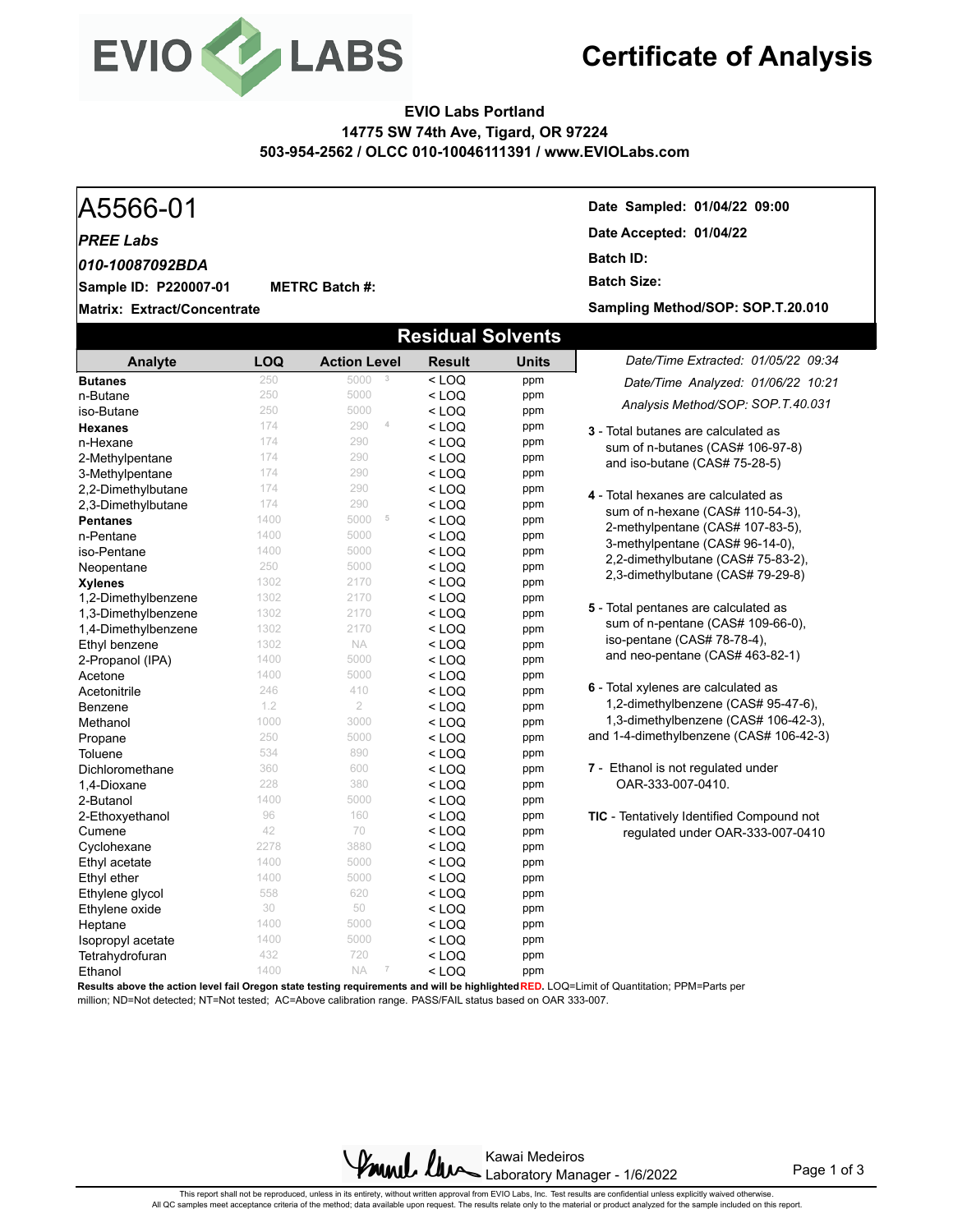

## **EVIO Labs Portland 14775 SW 74th Ave, Tigard, OR 97224 503-954-2562 / OLCC 010-10046111391 / www.EVIOLabs.com**

#### A5566-01 **Date Sampled: 01/04/22 09:00 Matrix: Extract/Concentrate Date Accepted: 01/04/22 Sample ID: P220007-01** *PREE Labs* **METRC Batch #: Batch ID: Batch Size:**  *010-10087092BDA* **Sampling Method/SOP: SOP.T.20.010 Residual Solvents** *Date/Time Extracted: 01/05/22 09:34 Date/Time Analyzed: 01/06/22 10:21* **Analyte LOQ Action Level Result Units Butanes** 250 5000 **3** < LOQ ppm

| n-Butane            | 250  | 5000                        | $<$ LOQ | ppm |                                                  |  |  |  |  |
|---------------------|------|-----------------------------|---------|-----|--------------------------------------------------|--|--|--|--|
| iso-Butane          | 250  | 5000                        | $<$ LOQ | ppm | Analysis Method/SOP: SOP T.40.031                |  |  |  |  |
| <b>Hexanes</b>      | 174  | 4<br>290                    | $<$ LOQ | ppm | 3 - Total butanes are calculated as              |  |  |  |  |
| n-Hexane            | 174  | 290                         | $<$ LOQ | ppm | sum of n-butanes (CAS# 106-97-8)                 |  |  |  |  |
| 2-Methylpentane     | 174  | 290                         | $<$ LOQ | ppm | and iso-butane (CAS# 75-28-5)                    |  |  |  |  |
| 3-Methylpentane     | 174  | 290                         | $<$ LOQ | ppm |                                                  |  |  |  |  |
| 2,2-Dimethylbutane  | 174  | 290                         | $<$ LOQ | ppm | 4 - Total hexanes are calculated as              |  |  |  |  |
| 2,3-Dimethylbutane  | 174  | 290                         | $<$ LOQ | ppm | sum of n-hexane (CAS# 110-54-3),                 |  |  |  |  |
| <b>Pentanes</b>     | 1400 | 5000<br>5                   | $<$ LOQ | ppm | 2-methylpentane (CAS# 107-83-5),                 |  |  |  |  |
| n-Pentane           | 1400 | 5000                        | $<$ LOQ | ppm | 3-methylpentane (CAS# 96-14-0),                  |  |  |  |  |
| iso-Pentane         | 1400 | 5000                        | $<$ LOQ | ppm |                                                  |  |  |  |  |
| Neopentane          | 250  | 5000                        | $<$ LOQ | ppm | 2,2-dimethylbutane (CAS# 75-83-2),               |  |  |  |  |
| <b>Xylenes</b>      | 1302 | 2170                        | $<$ LOQ | ppm | 2,3-dimethylbutane (CAS# 79-29-8)                |  |  |  |  |
| 1,2-Dimethylbenzene | 1302 | 2170                        | $<$ LOQ | ppm |                                                  |  |  |  |  |
| 1,3-Dimethylbenzene | 1302 | 2170                        | $<$ LOQ | ppm | 5 - Total pentanes are calculated as             |  |  |  |  |
| 1,4-Dimethylbenzene | 1302 | 2170                        | $<$ LOQ | ppm | sum of n-pentane (CAS# 109-66-0),                |  |  |  |  |
| Ethyl benzene       | 1302 | <b>NA</b>                   | $<$ LOQ | ppm | iso-pentane (CAS# 78-78-4),                      |  |  |  |  |
| 2-Propanol (IPA)    | 1400 | 5000                        | $<$ LOQ | ppm | and neo-pentane (CAS# 463-82-1)                  |  |  |  |  |
| Acetone             | 1400 | 5000                        | $<$ LOQ | ppm |                                                  |  |  |  |  |
| Acetonitrile        | 246  | 410                         | $<$ LOQ | ppm | 6 - Total xylenes are calculated as              |  |  |  |  |
| Benzene             | 1.2  | $\overline{2}$              | $<$ LOQ | ppm | 1,2-dimethylbenzene (CAS# 95-47-6),              |  |  |  |  |
| Methanol            | 1000 | 3000                        | $<$ LOQ | ppm | 1,3-dimethylbenzene (CAS# 106-42-3),             |  |  |  |  |
| Propane             | 250  | 5000                        | $<$ LOQ | ppm | and 1-4-dimethylbenzene (CAS# 106-42-3)          |  |  |  |  |
| Toluene             | 534  | 890                         | $<$ LOQ | ppm |                                                  |  |  |  |  |
| Dichloromethane     | 360  | 600                         | $<$ LOQ | ppm | 7 - Ethanol is not regulated under               |  |  |  |  |
| 1,4-Dioxane         | 228  | 380                         | $<$ LOQ | ppm | OAR-333-007-0410.                                |  |  |  |  |
| 2-Butanol           | 1400 | 5000                        | $<$ LOQ | ppm |                                                  |  |  |  |  |
| 2-Ethoxyethanol     | 96   | 160                         | $<$ LOQ | ppm | <b>TIC</b> - Tentatively Identified Compound not |  |  |  |  |
| Cumene              | 42   | 70                          | $<$ LOQ | ppm | regulated under OAR-333-007-0410                 |  |  |  |  |
| Cyclohexane         | 2278 | 3880                        | $<$ LOQ | ppm |                                                  |  |  |  |  |
| Ethyl acetate       | 1400 | 5000                        | $<$ LOQ | ppm |                                                  |  |  |  |  |
| Ethyl ether         | 1400 | 5000                        | $<$ LOQ | ppm |                                                  |  |  |  |  |
| Ethylene glycol     | 558  | 620                         | $<$ LOQ | ppm |                                                  |  |  |  |  |
| Ethylene oxide      | 30   | 50                          | $<$ LOQ | ppm |                                                  |  |  |  |  |
| Heptane             | 1400 | 5000                        | $<$ LOQ | ppm |                                                  |  |  |  |  |
| Isopropyl acetate   | 1400 | 5000                        | $<$ LOQ | ppm |                                                  |  |  |  |  |
| Tetrahydrofuran     | 432  | 720                         | $<$ LOQ | ppm |                                                  |  |  |  |  |
| Ethanol             | 1400 | <b>NA</b><br>$\overline{7}$ | $<$ LOQ | ppm |                                                  |  |  |  |  |

**Results above the action level fail Oregon state testing requirements and will be highlighted RED.** LOQ=Limit of Quantitation; PPM=Parts per million; ND=Not detected; NT=Not tested; AC=Above calibration range. PASS/FAIL status based on OAR 333-007.

> Found law Kawai Medeiros Laboratory Manager - 1/6/2022

Page 1 of 3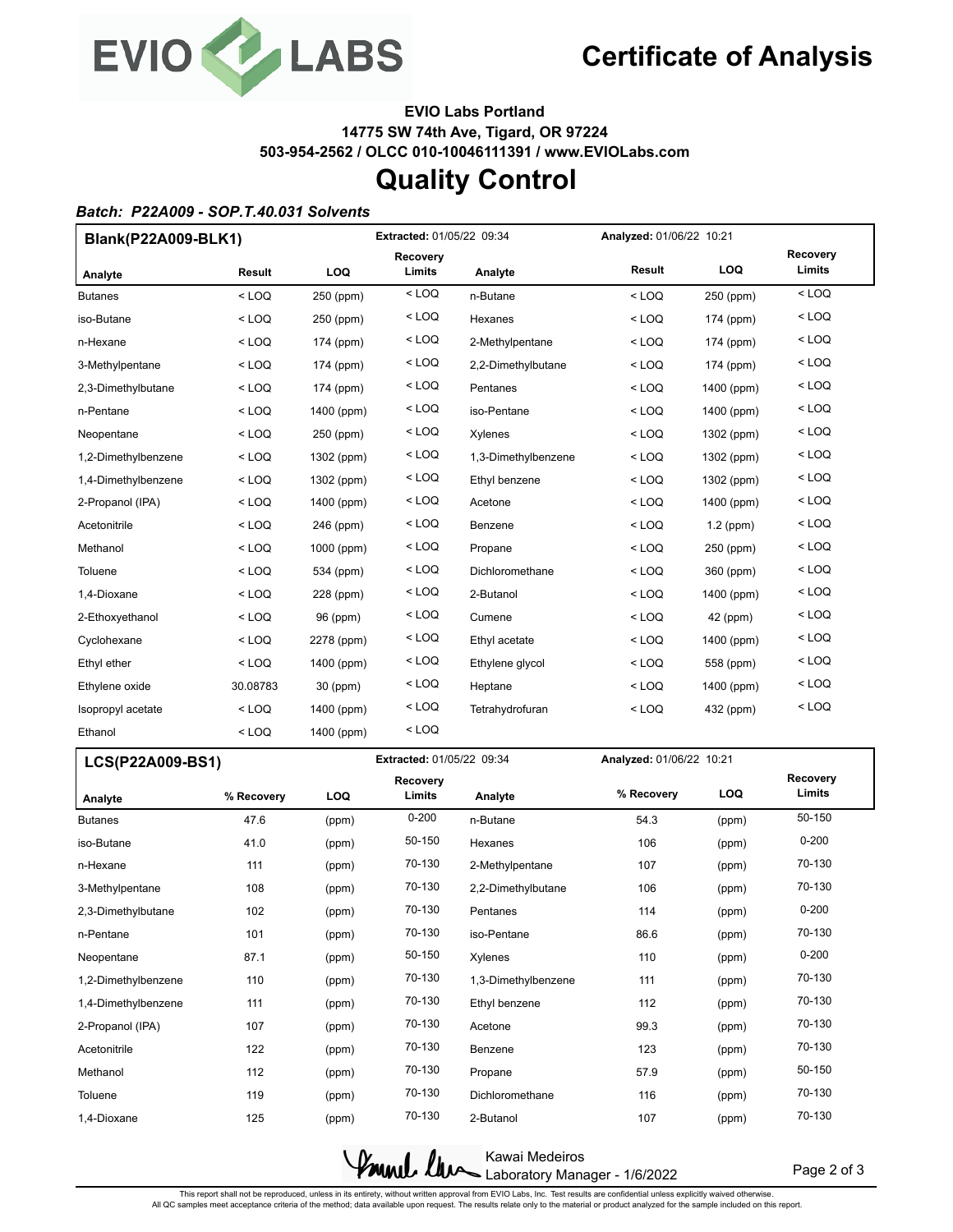

**EVIO Labs Portland 14775 SW 74th Ave, Tigard, OR 97224 503-954-2562 / OLCC 010-10046111391 / www.EVIOLabs.com**

## **Quality Control**

### *Batch: P22A009 - SOP.T.40.031 Solvents*

| Blank(P22A009-BLK1) |          | <b>Extracted: 01/05/22 09:34</b> |                           |                     | Analyzed: 01/06/22 10:21 |             |                           |
|---------------------|----------|----------------------------------|---------------------------|---------------------|--------------------------|-------------|---------------------------|
| Analyte             | Result   | LOQ                              | <b>Recovery</b><br>Limits | Analyte             | Result                   | LOQ         | <b>Recoverv</b><br>Limits |
| <b>Butanes</b>      | $<$ LOQ  | 250 (ppm)                        | $<$ LOQ                   | n-Butane            | $<$ LOQ                  | 250 (ppm)   | $<$ LOQ                   |
| iso-Butane          | $<$ LOQ  | 250 (ppm)                        | $<$ LOQ                   | Hexanes             | $<$ LOQ                  | 174 (ppm)   | $<$ LOQ                   |
| n-Hexane            | $<$ LOQ  | 174 (ppm)                        | $<$ LOQ                   | 2-Methylpentane     | $<$ LOQ                  | 174 (ppm)   | $<$ LOQ                   |
| 3-Methylpentane     | $<$ LOQ  | 174 (ppm)                        | $<$ LOQ                   | 2,2-Dimethylbutane  | $<$ LOQ                  | 174 (ppm)   | $<$ LOQ                   |
| 2,3-Dimethylbutane  | $<$ LOQ  | 174 (ppm)                        | $<$ LOQ                   | Pentanes            | $<$ LOQ                  | 1400 (ppm)  | $<$ LOQ                   |
| n-Pentane           | $<$ LOQ  | 1400 (ppm)                       | $<$ LOQ                   | iso-Pentane         | $<$ LOQ                  | 1400 (ppm)  | $<$ LOQ                   |
| Neopentane          | $<$ LOQ  | 250 (ppm)                        | < LOQ                     | Xylenes             | $<$ LOQ                  | 1302 (ppm)  | $<$ LOQ                   |
| 1,2-Dimethylbenzene | $<$ LOQ  | 1302 (ppm)                       | $<$ LOQ                   | 1,3-Dimethylbenzene | $<$ LOQ                  | 1302 (ppm)  | $<$ LOQ                   |
| 1,4-Dimethylbenzene | $<$ LOQ  | 1302 (ppm)                       | $<$ LOQ                   | Ethyl benzene       | $<$ LOQ                  | 1302 (ppm)  | $<$ LOQ                   |
| 2-Propanol (IPA)    | $<$ LOQ  | 1400 (ppm)                       | < LOQ                     | Acetone             | $<$ LOQ                  | 1400 (ppm)  | $<$ LOQ                   |
| Acetonitrile        | $<$ LOQ  | 246 (ppm)                        | $<$ LOQ                   | Benzene             | $<$ LOQ                  | $1.2$ (ppm) | $<$ LOQ                   |
| Methanol            | $<$ LOQ  | 1000 (ppm)                       | $<$ LOQ                   | Propane             | $<$ LOQ                  | 250 (ppm)   | $<$ LOQ                   |
| Toluene             | $<$ LOQ  | 534 (ppm)                        | $<$ LOQ                   | Dichloromethane     | $<$ LOQ                  | 360 (ppm)   | $<$ LOQ                   |
| 1,4-Dioxane         | $<$ LOQ  | 228 (ppm)                        | $<$ LOQ                   | 2-Butanol           | $<$ LOQ                  | 1400 (ppm)  | $<$ LOQ                   |
| 2-Ethoxyethanol     | $<$ LOQ  | 96 (ppm)                         | $<$ LOQ                   | Cumene              | $<$ LOQ                  | 42 (ppm)    | $<$ LOQ                   |
| Cyclohexane         | $<$ LOQ  | 2278 (ppm)                       | $<$ LOQ                   | Ethyl acetate       | $<$ LOQ                  | 1400 (ppm)  | $<$ LOQ                   |
| Ethyl ether         | $<$ LOQ  | 1400 (ppm)                       | $<$ LOQ                   | Ethylene glycol     | $<$ LOQ                  | 558 (ppm)   | $<$ LOQ                   |
| Ethylene oxide      | 30.08783 | 30 (ppm)                         | $<$ LOQ                   | Heptane             | $<$ LOQ                  | 1400 (ppm)  | $<$ LOQ                   |
| Isopropyl acetate   | $<$ LOQ  | 1400 (ppm)                       | $<$ LOQ                   | Tetrahydrofuran     | $<$ LOQ                  | 432 (ppm)   | $<$ LOQ                   |
| Ethanol             | $<$ LOQ  | 1400 (ppm)                       | $<$ LOQ                   |                     |                          |             |                           |

| LCS(P22A009-BS1)    |            |       | Extracted: 01/05/22 09:34 |                     | Analyzed: 01/06/22 10:21 |            |                    |
|---------------------|------------|-------|---------------------------|---------------------|--------------------------|------------|--------------------|
| Analyte             | % Recovery | LOQ   | <b>Recovery</b><br>Limits | Analyte             | % Recovery               | <b>LOQ</b> | Recovery<br>Limits |
| <b>Butanes</b>      | 47.6       | (ppm) | $0 - 200$                 | n-Butane            | 54.3                     | (ppm)      | 50-150             |
| iso-Butane          | 41.0       | (ppm) | 50-150                    | Hexanes             | 106                      | (ppm)      | $0 - 200$          |
| n-Hexane            | 111        | (ppm) | 70-130                    | 2-Methylpentane     | 107                      | (ppm)      | 70-130             |
| 3-Methylpentane     | 108        | (ppm) | 70-130                    | 2,2-Dimethylbutane  | 106                      | (ppm)      | 70-130             |
| 2,3-Dimethylbutane  | 102        | (ppm) | 70-130                    | Pentanes            | 114                      | (ppm)      | $0 - 200$          |
| n-Pentane           | 101        | (ppm) | 70-130                    | iso-Pentane         | 86.6                     | (ppm)      | 70-130             |
| Neopentane          | 87.1       | (ppm) | 50-150                    | Xylenes             | 110                      | (ppm)      | $0 - 200$          |
| 1,2-Dimethylbenzene | 110        | (ppm) | 70-130                    | 1,3-Dimethylbenzene | 111                      | (ppm)      | 70-130             |
| 1,4-Dimethylbenzene | 111        | (ppm) | 70-130                    | Ethyl benzene       | 112                      | (ppm)      | 70-130             |
| 2-Propanol (IPA)    | 107        | (ppm) | 70-130                    | Acetone             | 99.3                     | (ppm)      | 70-130             |
| Acetonitrile        | 122        | (ppm) | 70-130                    | Benzene             | 123                      | (ppm)      | 70-130             |
| Methanol            | 112        | (ppm) | 70-130                    | Propane             | 57.9                     | (ppm)      | 50-150             |
| Toluene             | 119        | (ppm) | 70-130                    | Dichloromethane     | 116                      | (ppm)      | 70-130             |
| 1.4-Dioxane         | 125        | (ppm) | 70-130                    | 2-Butanol           | 107                      | (ppm)      | 70-130             |



Page 2 of 3